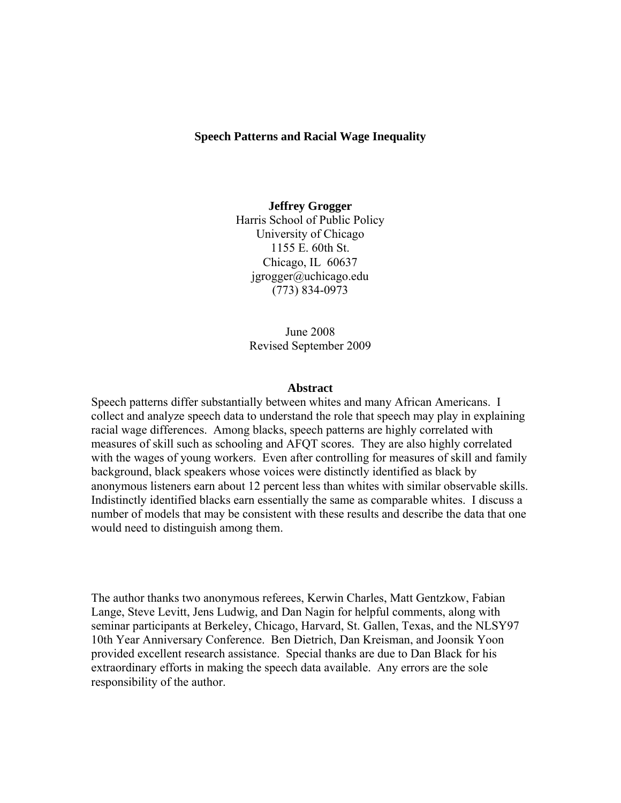## **Speech Patterns and Racial Wage Inequality**

**Jeffrey Grogger**  Harris School of Public Policy University of Chicago 1155 E. 60th St. Chicago, IL 60637 jgrogger@uchicago.edu (773) 834-0973

June 2008 Revised September 2009

#### **Abstract**

Speech patterns differ substantially between whites and many African Americans. I collect and analyze speech data to understand the role that speech may play in explaining racial wage differences. Among blacks, speech patterns are highly correlated with measures of skill such as schooling and AFQT scores. They are also highly correlated with the wages of young workers. Even after controlling for measures of skill and family background, black speakers whose voices were distinctly identified as black by anonymous listeners earn about 12 percent less than whites with similar observable skills. Indistinctly identified blacks earn essentially the same as comparable whites. I discuss a number of models that may be consistent with these results and describe the data that one would need to distinguish among them.

The author thanks two anonymous referees, Kerwin Charles, Matt Gentzkow, Fabian Lange, Steve Levitt, Jens Ludwig, and Dan Nagin for helpful comments, along with seminar participants at Berkeley, Chicago, Harvard, St. Gallen, Texas, and the NLSY97 10th Year Anniversary Conference. Ben Dietrich, Dan Kreisman, and Joonsik Yoon provided excellent research assistance. Special thanks are due to Dan Black for his extraordinary efforts in making the speech data available. Any errors are the sole responsibility of the author.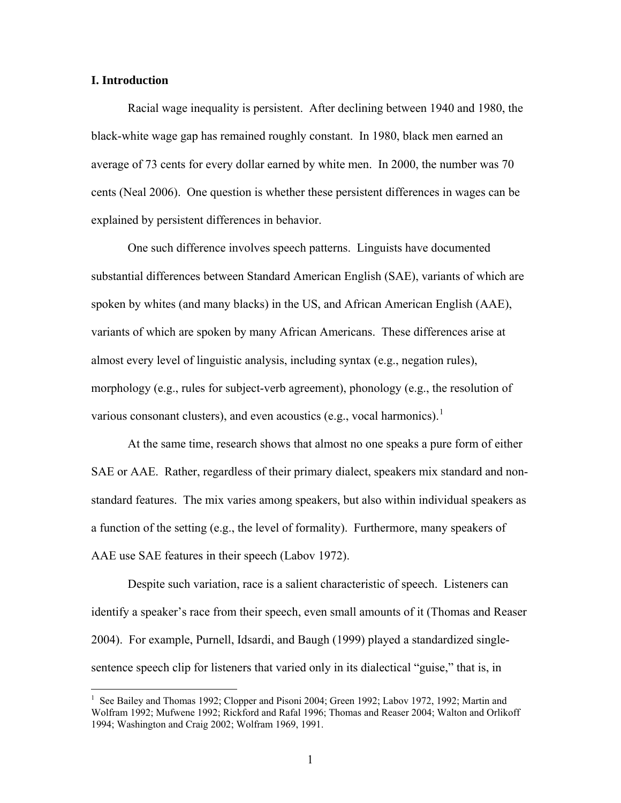## **I. Introduction**

 $\overline{a}$ 

 Racial wage inequality is persistent. After declining between 1940 and 1980, the black-white wage gap has remained roughly constant. In 1980, black men earned an average of 73 cents for every dollar earned by white men. In 2000, the number was 70 cents (Neal 2006). One question is whether these persistent differences in wages can be explained by persistent differences in behavior.

 One such difference involves speech patterns. Linguists have documented substantial differences between Standard American English (SAE), variants of which are spoken by whites (and many blacks) in the US, and African American English (AAE), variants of which are spoken by many African Americans. These differences arise at almost every level of linguistic analysis, including syntax (e.g., negation rules), morphology (e.g., rules for subject-verb agreement), phonology (e.g., the resolution of various consonant clusters), and even acoustics (e.g., vocal harmonics).<sup>[1](#page-1-0)</sup>

 At the same time, research shows that almost no one speaks a pure form of either SAE or AAE. Rather, regardless of their primary dialect, speakers mix standard and nonstandard features. The mix varies among speakers, but also within individual speakers as a function of the setting (e.g., the level of formality). Furthermore, many speakers of AAE use SAE features in their speech (Labov 1972).

 Despite such variation, race is a salient characteristic of speech. Listeners can identify a speaker's race from their speech, even small amounts of it (Thomas and Reaser 2004). For example, Purnell, Idsardi, and Baugh (1999) played a standardized singlesentence speech clip for listeners that varied only in its dialectical "guise," that is, in

<span id="page-1-0"></span><sup>&</sup>lt;sup>1</sup> See Bailey and Thomas 1992; Clopper and Pisoni 2004; Green 1992; Labov 1972, 1992; Martin and Wolfram 1992; Mufwene 1992; Rickford and Rafal 1996; Thomas and Reaser 2004; Walton and Orlikoff 1994; Washington and Craig 2002; Wolfram 1969, 1991.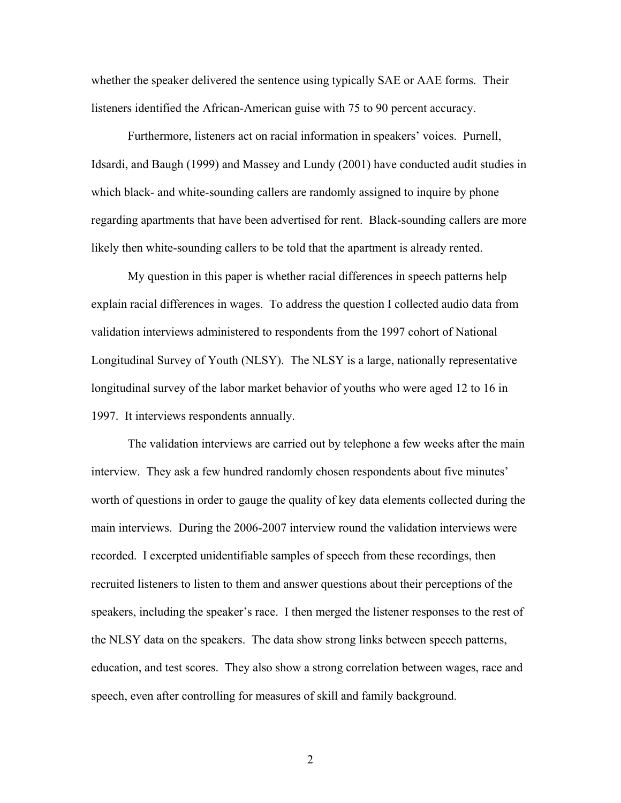whether the speaker delivered the sentence using typically SAE or AAE forms. Their listeners identified the African-American guise with 75 to 90 percent accuracy.

 Furthermore, listeners act on racial information in speakers' voices. Purnell, Idsardi, and Baugh (1999) and Massey and Lundy (2001) have conducted audit studies in which black- and white-sounding callers are randomly assigned to inquire by phone regarding apartments that have been advertised for rent. Black-sounding callers are more likely then white-sounding callers to be told that the apartment is already rented.

 My question in this paper is whether racial differences in speech patterns help explain racial differences in wages. To address the question I collected audio data from validation interviews administered to respondents from the 1997 cohort of National Longitudinal Survey of Youth (NLSY). The NLSY is a large, nationally representative longitudinal survey of the labor market behavior of youths who were aged 12 to 16 in 1997. It interviews respondents annually.

 The validation interviews are carried out by telephone a few weeks after the main interview. They ask a few hundred randomly chosen respondents about five minutes' worth of questions in order to gauge the quality of key data elements collected during the main interviews. During the 2006-2007 interview round the validation interviews were recorded. I excerpted unidentifiable samples of speech from these recordings, then recruited listeners to listen to them and answer questions about their perceptions of the speakers, including the speaker's race. I then merged the listener responses to the rest of the NLSY data on the speakers. The data show strong links between speech patterns, education, and test scores. They also show a strong correlation between wages, race and speech, even after controlling for measures of skill and family background.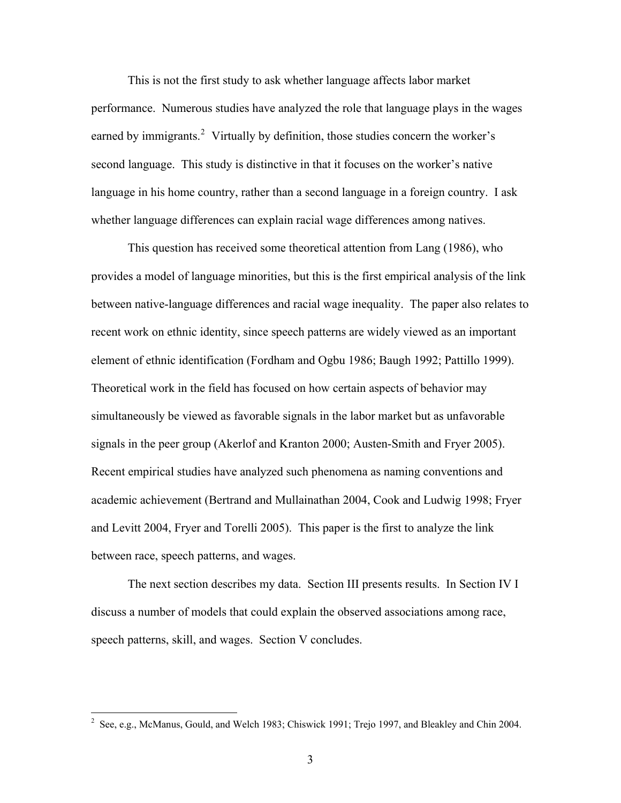This is not the first study to ask whether language affects labor market performance. Numerous studies have analyzed the role that language plays in the wages earned by immigrants.<sup>[2](#page-3-0)</sup> Virtually by definition, those studies concern the worker's second language. This study is distinctive in that it focuses on the worker's native language in his home country, rather than a second language in a foreign country. I ask whether language differences can explain racial wage differences among natives.

 This question has received some theoretical attention from Lang (1986), who provides a model of language minorities, but this is the first empirical analysis of the link between native-language differences and racial wage inequality. The paper also relates to recent work on ethnic identity, since speech patterns are widely viewed as an important element of ethnic identification (Fordham and Ogbu 1986; Baugh 1992; Pattillo 1999). Theoretical work in the field has focused on how certain aspects of behavior may simultaneously be viewed as favorable signals in the labor market but as unfavorable signals in the peer group (Akerlof and Kranton 2000; Austen-Smith and Fryer 2005). Recent empirical studies have analyzed such phenomena as naming conventions and academic achievement (Bertrand and Mullainathan 2004, Cook and Ludwig 1998; Fryer and Levitt 2004, Fryer and Torelli 2005). This paper is the first to analyze the link between race, speech patterns, and wages.

 The next section describes my data. Section III presents results. In Section IV I discuss a number of models that could explain the observed associations among race, speech patterns, skill, and wages. Section V concludes.

<u>.</u>

<span id="page-3-0"></span><sup>&</sup>lt;sup>2</sup> See, e.g., McManus, Gould, and Welch 1983; Chiswick 1991; Trejo 1997, and Bleakley and Chin 2004.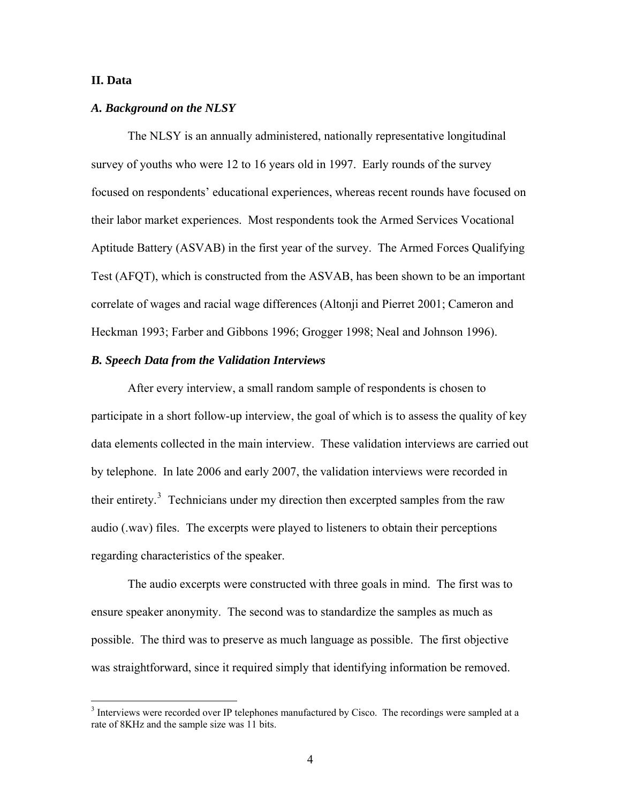## **II. Data**

1

## *A. Background on the NLSY*

 The NLSY is an annually administered, nationally representative longitudinal survey of youths who were 12 to 16 years old in 1997. Early rounds of the survey focused on respondents' educational experiences, whereas recent rounds have focused on their labor market experiences. Most respondents took the Armed Services Vocational Aptitude Battery (ASVAB) in the first year of the survey. The Armed Forces Qualifying Test (AFQT), which is constructed from the ASVAB, has been shown to be an important correlate of wages and racial wage differences (Altonji and Pierret 2001; Cameron and Heckman 1993; Farber and Gibbons 1996; Grogger 1998; Neal and Johnson 1996).

## *B. Speech Data from the Validation Interviews*

 After every interview, a small random sample of respondents is chosen to participate in a short follow-up interview, the goal of which is to assess the quality of key data elements collected in the main interview. These validation interviews are carried out by telephone. In late 2006 and early 2007, the validation interviews were recorded in their entirety.<sup>[3](#page-4-0)</sup> Technicians under my direction then excerpted samples from the raw audio (.wav) files. The excerpts were played to listeners to obtain their perceptions regarding characteristics of the speaker.

 The audio excerpts were constructed with three goals in mind. The first was to ensure speaker anonymity. The second was to standardize the samples as much as possible. The third was to preserve as much language as possible. The first objective was straightforward, since it required simply that identifying information be removed.

<span id="page-4-0"></span><sup>&</sup>lt;sup>3</sup> Interviews were recorded over IP telephones manufactured by Cisco. The recordings were sampled at a rate of 8KHz and the sample size was 11 bits.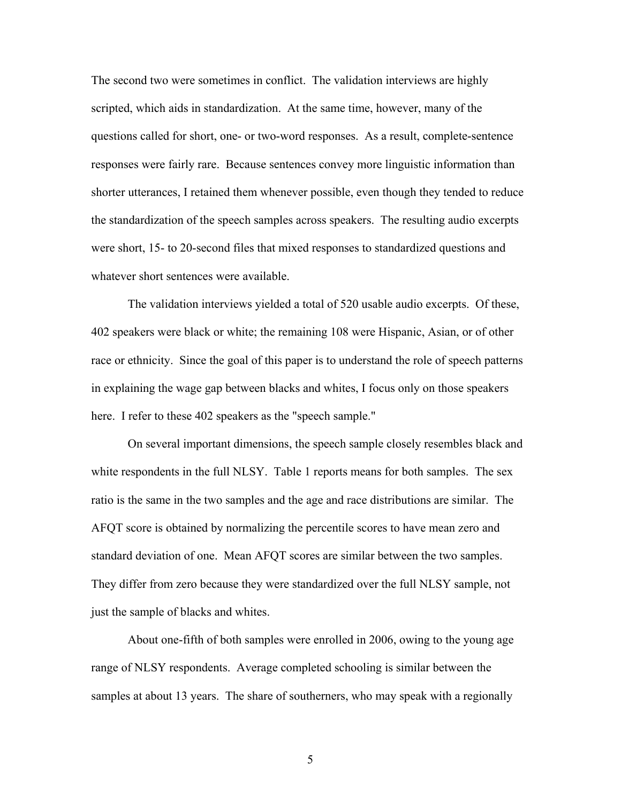The second two were sometimes in conflict. The validation interviews are highly scripted, which aids in standardization. At the same time, however, many of the questions called for short, one- or two-word responses. As a result, complete-sentence responses were fairly rare. Because sentences convey more linguistic information than shorter utterances, I retained them whenever possible, even though they tended to reduce the standardization of the speech samples across speakers. The resulting audio excerpts were short, 15- to 20-second files that mixed responses to standardized questions and whatever short sentences were available.

 The validation interviews yielded a total of 520 usable audio excerpts. Of these, 402 speakers were black or white; the remaining 108 were Hispanic, Asian, or of other race or ethnicity. Since the goal of this paper is to understand the role of speech patterns in explaining the wage gap between blacks and whites, I focus only on those speakers here. I refer to these 402 speakers as the "speech sample."

 On several important dimensions, the speech sample closely resembles black and white respondents in the full NLSY. Table 1 reports means for both samples. The sex ratio is the same in the two samples and the age and race distributions are similar. The AFQT score is obtained by normalizing the percentile scores to have mean zero and standard deviation of one. Mean AFQT scores are similar between the two samples. They differ from zero because they were standardized over the full NLSY sample, not just the sample of blacks and whites.

 About one-fifth of both samples were enrolled in 2006, owing to the young age range of NLSY respondents. Average completed schooling is similar between the samples at about 13 years. The share of southerners, who may speak with a regionally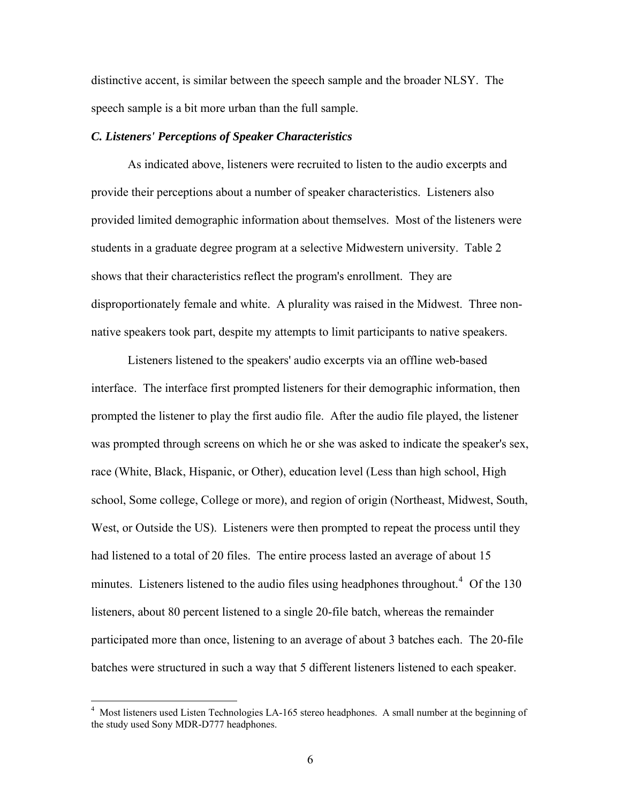distinctive accent, is similar between the speech sample and the broader NLSY. The speech sample is a bit more urban than the full sample.

## *C. Listeners' Perceptions of Speaker Characteristics*

 As indicated above, listeners were recruited to listen to the audio excerpts and provide their perceptions about a number of speaker characteristics. Listeners also provided limited demographic information about themselves. Most of the listeners were students in a graduate degree program at a selective Midwestern university. Table 2 shows that their characteristics reflect the program's enrollment. They are disproportionately female and white. A plurality was raised in the Midwest. Three nonnative speakers took part, despite my attempts to limit participants to native speakers.

 Listeners listened to the speakers' audio excerpts via an offline web-based interface. The interface first prompted listeners for their demographic information, then prompted the listener to play the first audio file. After the audio file played, the listener was prompted through screens on which he or she was asked to indicate the speaker's sex, race (White, Black, Hispanic, or Other), education level (Less than high school, High school, Some college, College or more), and region of origin (Northeast, Midwest, South, West, or Outside the US). Listeners were then prompted to repeat the process until they had listened to a total of 20 files. The entire process lasted an average of about 15 minutes. Listeners listened to the audio files using headphones throughout.<sup>[4](#page-6-0)</sup> Of the  $130$ listeners, about 80 percent listened to a single 20-file batch, whereas the remainder participated more than once, listening to an average of about 3 batches each. The 20-file batches were structured in such a way that 5 different listeners listened to each speaker.

<span id="page-6-0"></span> 4 Most listeners used Listen Technologies LA-165 stereo headphones. A small number at the beginning of the study used Sony MDR-D777 headphones.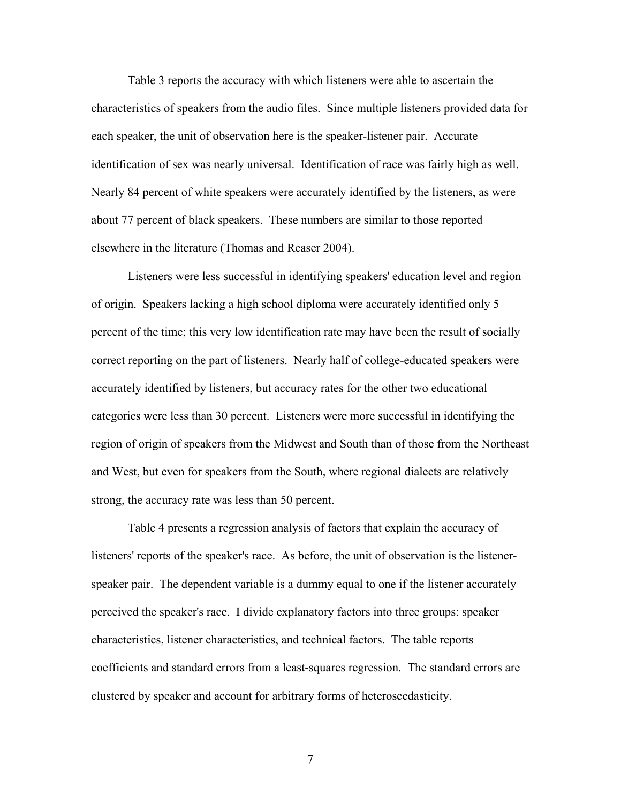Table 3 reports the accuracy with which listeners were able to ascertain the characteristics of speakers from the audio files. Since multiple listeners provided data for each speaker, the unit of observation here is the speaker-listener pair. Accurate identification of sex was nearly universal. Identification of race was fairly high as well. Nearly 84 percent of white speakers were accurately identified by the listeners, as were about 77 percent of black speakers. These numbers are similar to those reported elsewhere in the literature (Thomas and Reaser 2004).

 Listeners were less successful in identifying speakers' education level and region of origin. Speakers lacking a high school diploma were accurately identified only 5 percent of the time; this very low identification rate may have been the result of socially correct reporting on the part of listeners. Nearly half of college-educated speakers were accurately identified by listeners, but accuracy rates for the other two educational categories were less than 30 percent. Listeners were more successful in identifying the region of origin of speakers from the Midwest and South than of those from the Northeast and West, but even for speakers from the South, where regional dialects are relatively strong, the accuracy rate was less than 50 percent.

 Table 4 presents a regression analysis of factors that explain the accuracy of listeners' reports of the speaker's race. As before, the unit of observation is the listenerspeaker pair. The dependent variable is a dummy equal to one if the listener accurately perceived the speaker's race. I divide explanatory factors into three groups: speaker characteristics, listener characteristics, and technical factors. The table reports coefficients and standard errors from a least-squares regression. The standard errors are clustered by speaker and account for arbitrary forms of heteroscedasticity.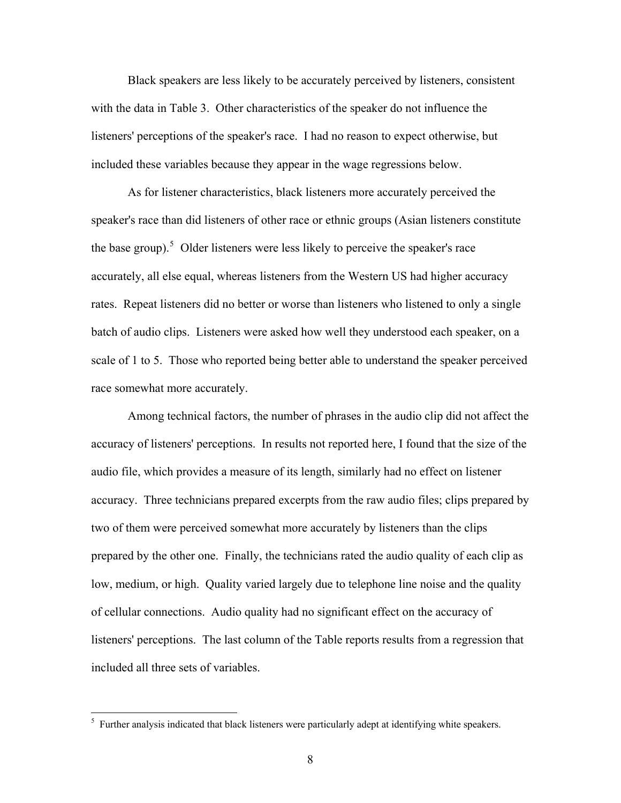Black speakers are less likely to be accurately perceived by listeners, consistent with the data in Table 3. Other characteristics of the speaker do not influence the listeners' perceptions of the speaker's race. I had no reason to expect otherwise, but included these variables because they appear in the wage regressions below.

 As for listener characteristics, black listeners more accurately perceived the speaker's race than did listeners of other race or ethnic groups (Asian listeners constitute the base group).<sup>[5](#page-8-0)</sup> Older listeners were less likely to perceive the speaker's race accurately, all else equal, whereas listeners from the Western US had higher accuracy rates. Repeat listeners did no better or worse than listeners who listened to only a single batch of audio clips. Listeners were asked how well they understood each speaker, on a scale of 1 to 5. Those who reported being better able to understand the speaker perceived race somewhat more accurately.

 Among technical factors, the number of phrases in the audio clip did not affect the accuracy of listeners' perceptions. In results not reported here, I found that the size of the audio file, which provides a measure of its length, similarly had no effect on listener accuracy. Three technicians prepared excerpts from the raw audio files; clips prepared by two of them were perceived somewhat more accurately by listeners than the clips prepared by the other one. Finally, the technicians rated the audio quality of each clip as low, medium, or high. Quality varied largely due to telephone line noise and the quality of cellular connections. Audio quality had no significant effect on the accuracy of listeners' perceptions. The last column of the Table reports results from a regression that included all three sets of variables.

<span id="page-8-0"></span><sup>&</sup>lt;sup>5</sup> Further analysis indicated that black listeners were particularly adept at identifying white speakers.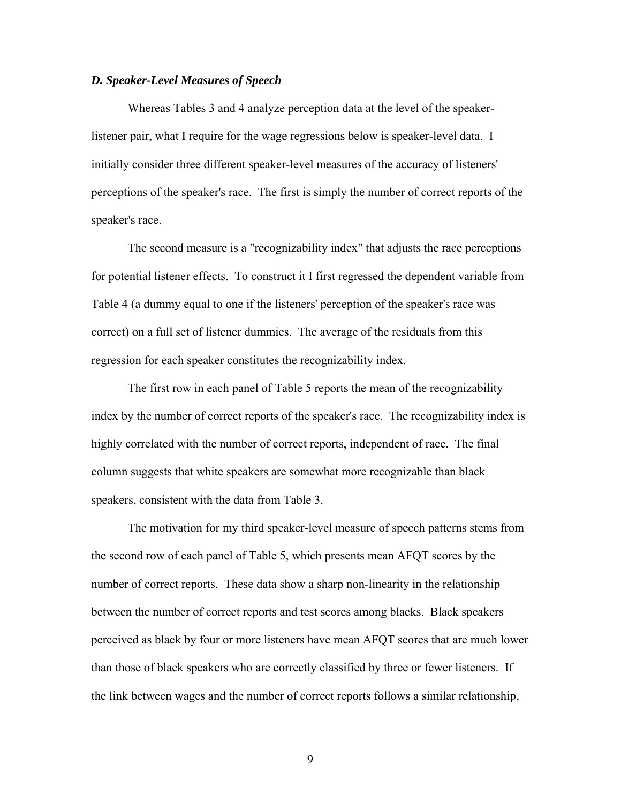#### *D. Speaker-Level Measures of Speech*

 Whereas Tables 3 and 4 analyze perception data at the level of the speakerlistener pair, what I require for the wage regressions below is speaker-level data. I initially consider three different speaker-level measures of the accuracy of listeners' perceptions of the speaker's race. The first is simply the number of correct reports of the speaker's race.

 The second measure is a "recognizability index" that adjusts the race perceptions for potential listener effects. To construct it I first regressed the dependent variable from Table 4 (a dummy equal to one if the listeners' perception of the speaker's race was correct) on a full set of listener dummies. The average of the residuals from this regression for each speaker constitutes the recognizability index.

 The first row in each panel of Table 5 reports the mean of the recognizability index by the number of correct reports of the speaker's race. The recognizability index is highly correlated with the number of correct reports, independent of race. The final column suggests that white speakers are somewhat more recognizable than black speakers, consistent with the data from Table 3.

 The motivation for my third speaker-level measure of speech patterns stems from the second row of each panel of Table 5, which presents mean AFQT scores by the number of correct reports. These data show a sharp non-linearity in the relationship between the number of correct reports and test scores among blacks. Black speakers perceived as black by four or more listeners have mean AFQT scores that are much lower than those of black speakers who are correctly classified by three or fewer listeners. If the link between wages and the number of correct reports follows a similar relationship,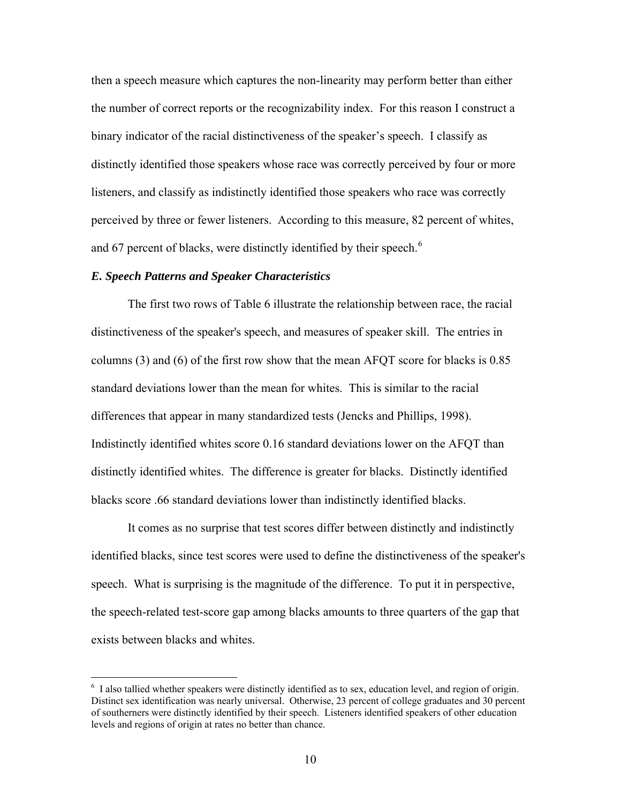then a speech measure which captures the non-linearity may perform better than either the number of correct reports or the recognizability index. For this reason I construct a binary indicator of the racial distinctiveness of the speaker's speech. I classify as distinctly identified those speakers whose race was correctly perceived by four or more listeners, and classify as indistinctly identified those speakers who race was correctly perceived by three or fewer listeners. According to this measure, 82 percent of whites, and [6](#page-10-0)7 percent of blacks, were distinctly identified by their speech.<sup>6</sup>

## *E. Speech Patterns and Speaker Characteristics*

 $\overline{a}$ 

 The first two rows of Table 6 illustrate the relationship between race, the racial distinctiveness of the speaker's speech, and measures of speaker skill. The entries in columns (3) and (6) of the first row show that the mean AFQT score for blacks is 0.85 standard deviations lower than the mean for whites. This is similar to the racial differences that appear in many standardized tests (Jencks and Phillips, 1998). Indistinctly identified whites score 0.16 standard deviations lower on the AFQT than distinctly identified whites. The difference is greater for blacks. Distinctly identified blacks score .66 standard deviations lower than indistinctly identified blacks.

 It comes as no surprise that test scores differ between distinctly and indistinctly identified blacks, since test scores were used to define the distinctiveness of the speaker's speech. What is surprising is the magnitude of the difference. To put it in perspective, the speech-related test-score gap among blacks amounts to three quarters of the gap that exists between blacks and whites.

<span id="page-10-0"></span><sup>&</sup>lt;sup>6</sup> I also tallied whether speakers were distinctly identified as to sex, education level, and region of origin. Distinct sex identification was nearly universal. Otherwise, 23 percent of college graduates and 30 percent of southerners were distinctly identified by their speech. Listeners identified speakers of other education levels and regions of origin at rates no better than chance.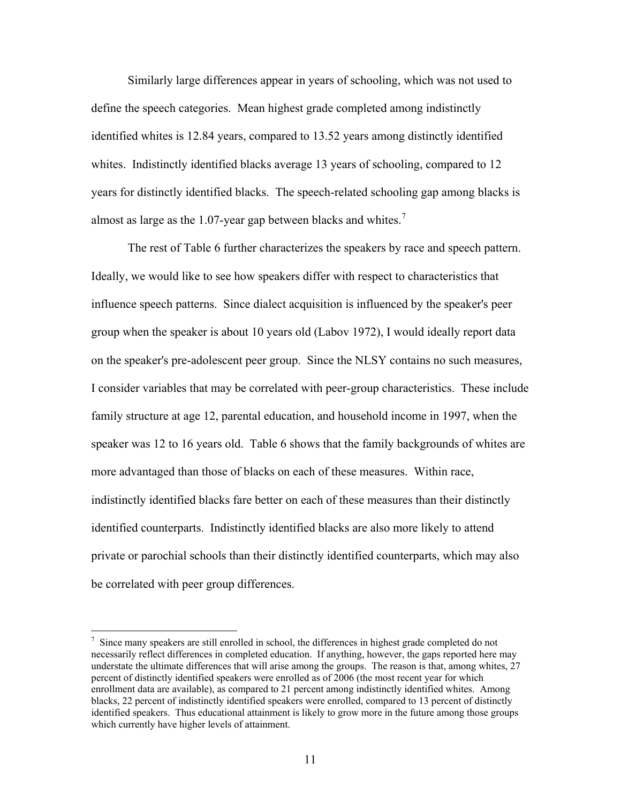Similarly large differences appear in years of schooling, which was not used to define the speech categories. Mean highest grade completed among indistinctly identified whites is 12.84 years, compared to 13.52 years among distinctly identified whites. Indistinctly identified blacks average 13 years of schooling, compared to 12 years for distinctly identified blacks. The speech-related schooling gap among blacks is almost as large as the 1.0[7](#page-11-0)-year gap between blacks and whites.<sup>7</sup>

 The rest of Table 6 further characterizes the speakers by race and speech pattern. Ideally, we would like to see how speakers differ with respect to characteristics that influence speech patterns. Since dialect acquisition is influenced by the speaker's peer group when the speaker is about 10 years old (Labov 1972), I would ideally report data on the speaker's pre-adolescent peer group. Since the NLSY contains no such measures, I consider variables that may be correlated with peer-group characteristics. These include family structure at age 12, parental education, and household income in 1997, when the speaker was 12 to 16 years old. Table 6 shows that the family backgrounds of whites are more advantaged than those of blacks on each of these measures. Within race, indistinctly identified blacks fare better on each of these measures than their distinctly identified counterparts. Indistinctly identified blacks are also more likely to attend private or parochial schools than their distinctly identified counterparts, which may also be correlated with peer group differences.

 $\overline{a}$ 

<span id="page-11-0"></span> $<sup>7</sup>$  Since many speakers are still enrolled in school, the differences in highest grade completed do not</sup> necessarily reflect differences in completed education. If anything, however, the gaps reported here may understate the ultimate differences that will arise among the groups. The reason is that, among whites, 27 percent of distinctly identified speakers were enrolled as of 2006 (the most recent year for which enrollment data are available), as compared to 21 percent among indistinctly identified whites. Among blacks, 22 percent of indistinctly identified speakers were enrolled, compared to 13 percent of distinctly identified speakers. Thus educational attainment is likely to grow more in the future among those groups which currently have higher levels of attainment.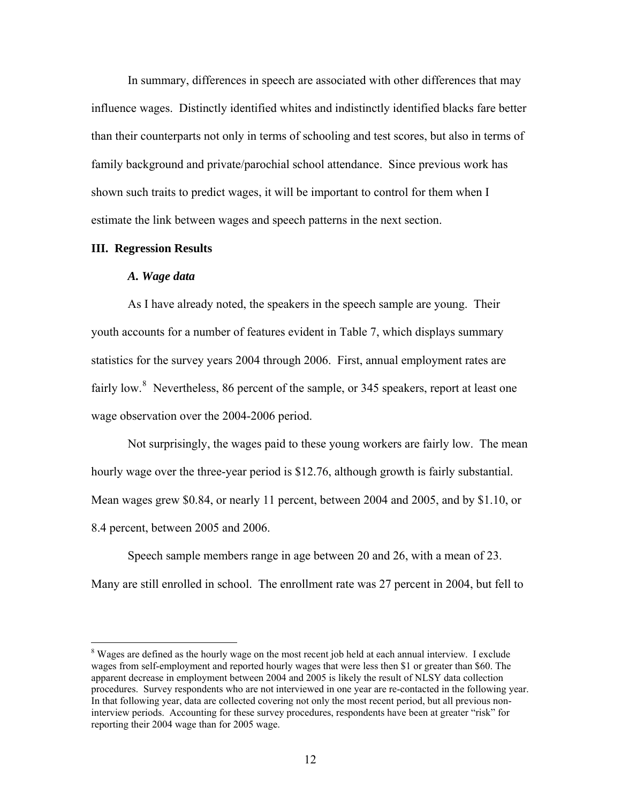In summary, differences in speech are associated with other differences that may influence wages. Distinctly identified whites and indistinctly identified blacks fare better than their counterparts not only in terms of schooling and test scores, but also in terms of family background and private/parochial school attendance. Since previous work has shown such traits to predict wages, it will be important to control for them when I estimate the link between wages and speech patterns in the next section.

### **III. Regression Results**

 $\overline{a}$ 

#### *A. Wage data*

 As I have already noted, the speakers in the speech sample are young. Their youth accounts for a number of features evident in Table 7, which displays summary statistics for the survey years 2004 through 2006. First, annual employment rates are fairly low.<sup>[8](#page-12-0)</sup> Nevertheless, 86 percent of the sample, or 345 speakers, report at least one wage observation over the 2004-2006 period.

 Not surprisingly, the wages paid to these young workers are fairly low. The mean hourly wage over the three-year period is \$12.76, although growth is fairly substantial. Mean wages grew \$0.84, or nearly 11 percent, between 2004 and 2005, and by \$1.10, or 8.4 percent, between 2005 and 2006.

 Speech sample members range in age between 20 and 26, with a mean of 23. Many are still enrolled in school. The enrollment rate was 27 percent in 2004, but fell to

<span id="page-12-0"></span><sup>&</sup>lt;sup>8</sup> Wages are defined as the hourly wage on the most recent job held at each annual interview. I exclude wages from self-employment and reported hourly wages that were less then \$1 or greater than \$60. The apparent decrease in employment between 2004 and 2005 is likely the result of NLSY data collection procedures. Survey respondents who are not interviewed in one year are re-contacted in the following year. In that following year, data are collected covering not only the most recent period, but all previous noninterview periods. Accounting for these survey procedures, respondents have been at greater "risk" for reporting their 2004 wage than for 2005 wage.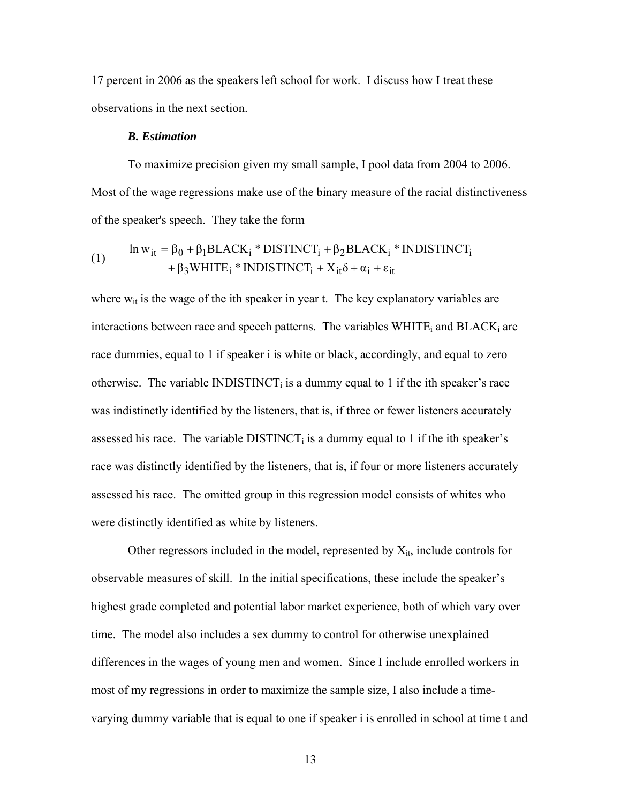17 percent in 2006 as the speakers left school for work. I discuss how I treat these observations in the next section.

## *B. Estimation*

 To maximize precision given my small sample, I pool data from 2004 to 2006. Most of the wage regressions make use of the binary measure of the racial distinctiveness of the speaker's speech. They take the form

$$
\begin{aligned} \text{(1)} \qquad & \text{ln } \mathbf{w}_{it} = \beta_0 + \beta_1 \text{BLACK}_i \ast \text{DISTINCT}_i + \beta_2 \text{BLACK}_i \ast \text{INDISTINCT}_i \\ & + \beta_3 \text{WHITE}_i \ast \text{INDISTINCT}_i + \mathbf{X}_{it} \delta + \alpha_i + \varepsilon_{it} \end{aligned}
$$

where  $w_{it}$  is the wage of the ith speaker in year t. The key explanatory variables are interactions between race and speech patterns. The variables  $WHITE_i$  and  $BLACK_i$  are race dummies, equal to 1 if speaker i is white or black, accordingly, and equal to zero otherwise. The variable INDISTINCT<sub>i</sub> is a dummy equal to 1 if the ith speaker's race was indistinctly identified by the listeners, that is, if three or fewer listeners accurately assessed his race. The variable DISTINCT is a dummy equal to 1 if the ith speaker's race was distinctly identified by the listeners, that is, if four or more listeners accurately assessed his race. The omitted group in this regression model consists of whites who were distinctly identified as white by listeners.

Other regressors included in the model, represented by  $X_{it}$ , include controls for observable measures of skill. In the initial specifications, these include the speaker's highest grade completed and potential labor market experience, both of which vary over time. The model also includes a sex dummy to control for otherwise unexplained differences in the wages of young men and women. Since I include enrolled workers in most of my regressions in order to maximize the sample size, I also include a timevarying dummy variable that is equal to one if speaker i is enrolled in school at time t and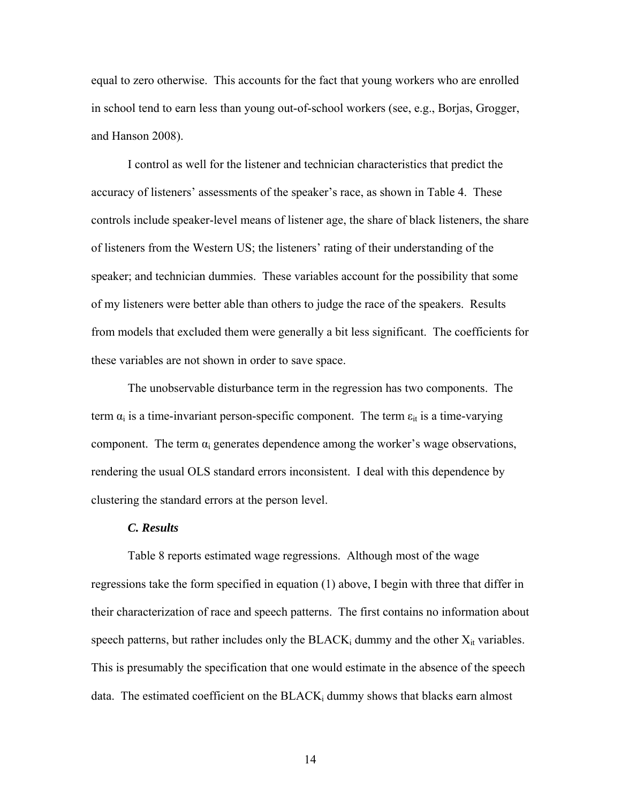equal to zero otherwise. This accounts for the fact that young workers who are enrolled in school tend to earn less than young out-of-school workers (see, e.g., Borjas, Grogger, and Hanson 2008).

 I control as well for the listener and technician characteristics that predict the accuracy of listeners' assessments of the speaker's race, as shown in Table 4. These controls include speaker-level means of listener age, the share of black listeners, the share of listeners from the Western US; the listeners' rating of their understanding of the speaker; and technician dummies. These variables account for the possibility that some of my listeners were better able than others to judge the race of the speakers. Results from models that excluded them were generally a bit less significant. The coefficients for these variables are not shown in order to save space.

 The unobservable disturbance term in the regression has two components. The term  $\alpha_i$  is a time-invariant person-specific component. The term  $\varepsilon_{it}$  is a time-varying component. The term  $\alpha_i$  generates dependence among the worker's wage observations, rendering the usual OLS standard errors inconsistent. I deal with this dependence by clustering the standard errors at the person level.

#### *C. Results*

 Table 8 reports estimated wage regressions. Although most of the wage regressions take the form specified in equation (1) above, I begin with three that differ in their characterization of race and speech patterns. The first contains no information about speech patterns, but rather includes only the  $BLACK_i$  dummy and the other  $X_{it}$  variables. This is presumably the specification that one would estimate in the absence of the speech data. The estimated coefficient on the  $BLACK_i$  dummy shows that blacks earn almost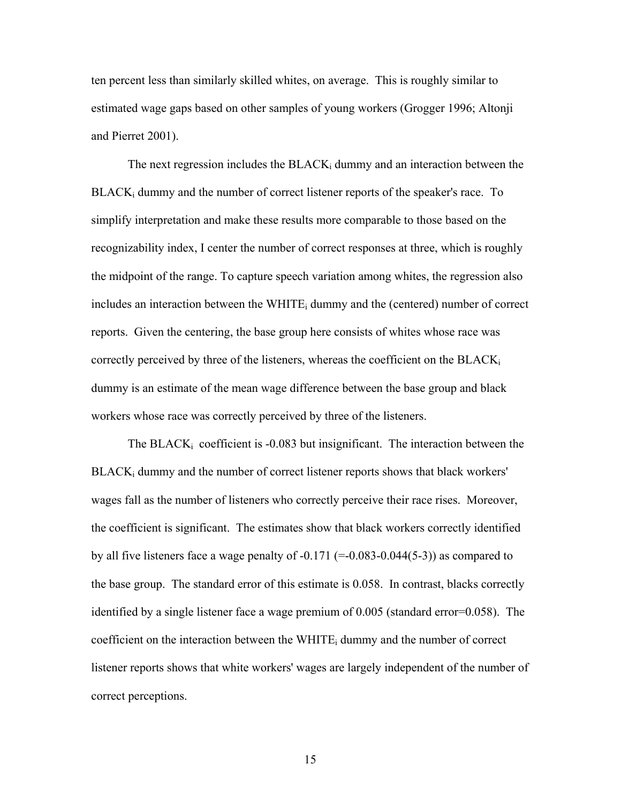ten percent less than similarly skilled whites, on average. This is roughly similar to estimated wage gaps based on other samples of young workers (Grogger 1996; Altonji and Pierret 2001).

The next regression includes the  $BLACK_i$  dummy and an interaction between the BLACK<sub>i</sub> dummy and the number of correct listener reports of the speaker's race. To simplify interpretation and make these results more comparable to those based on the recognizability index, I center the number of correct responses at three, which is roughly the midpoint of the range. To capture speech variation among whites, the regression also includes an interaction between the  $WHITE_i$  dummy and the (centered) number of correct reports. Given the centering, the base group here consists of whites whose race was correctly perceived by three of the listeners, whereas the coefficient on the  $BLACK_i$ dummy is an estimate of the mean wage difference between the base group and black workers whose race was correctly perceived by three of the listeners.

The BLACK<sub>i</sub> coefficient is -0.083 but insignificant. The interaction between the BLACK<sub>i</sub> dummy and the number of correct listener reports shows that black workers' wages fall as the number of listeners who correctly perceive their race rises. Moreover, the coefficient is significant. The estimates show that black workers correctly identified by all five listeners face a wage penalty of  $-0.171$  ( $=-0.083-0.044(5-3)$ ) as compared to the base group. The standard error of this estimate is 0.058. In contrast, blacks correctly identified by a single listener face a wage premium of 0.005 (standard error=0.058). The coefficient on the interaction between the WHITE $_i$  dummy and the number of correct listener reports shows that white workers' wages are largely independent of the number of correct perceptions.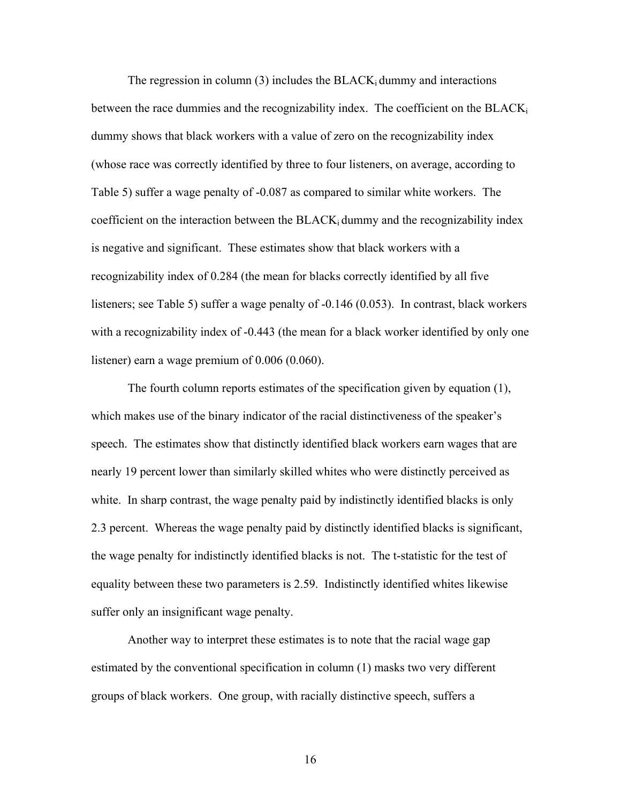The regression in column (3) includes the  $BLACK_i$  dummy and interactions between the race dummies and the recognizability index. The coefficient on the  $BLACK_i$ dummy shows that black workers with a value of zero on the recognizability index (whose race was correctly identified by three to four listeners, on average, according to Table 5) suffer a wage penalty of -0.087 as compared to similar white workers. The coefficient on the interaction between the  $BLACK_i$  dummy and the recognizability index is negative and significant. These estimates show that black workers with a recognizability index of 0.284 (the mean for blacks correctly identified by all five listeners; see Table 5) suffer a wage penalty of -0.146 (0.053). In contrast, black workers with a recognizability index of -0.443 (the mean for a black worker identified by only one listener) earn a wage premium of 0.006 (0.060).

 The fourth column reports estimates of the specification given by equation (1), which makes use of the binary indicator of the racial distinctiveness of the speaker's speech. The estimates show that distinctly identified black workers earn wages that are nearly 19 percent lower than similarly skilled whites who were distinctly perceived as white. In sharp contrast, the wage penalty paid by indistinctly identified blacks is only 2.3 percent. Whereas the wage penalty paid by distinctly identified blacks is significant, the wage penalty for indistinctly identified blacks is not. The t-statistic for the test of equality between these two parameters is 2.59. Indistinctly identified whites likewise suffer only an insignificant wage penalty.

 Another way to interpret these estimates is to note that the racial wage gap estimated by the conventional specification in column (1) masks two very different groups of black workers. One group, with racially distinctive speech, suffers a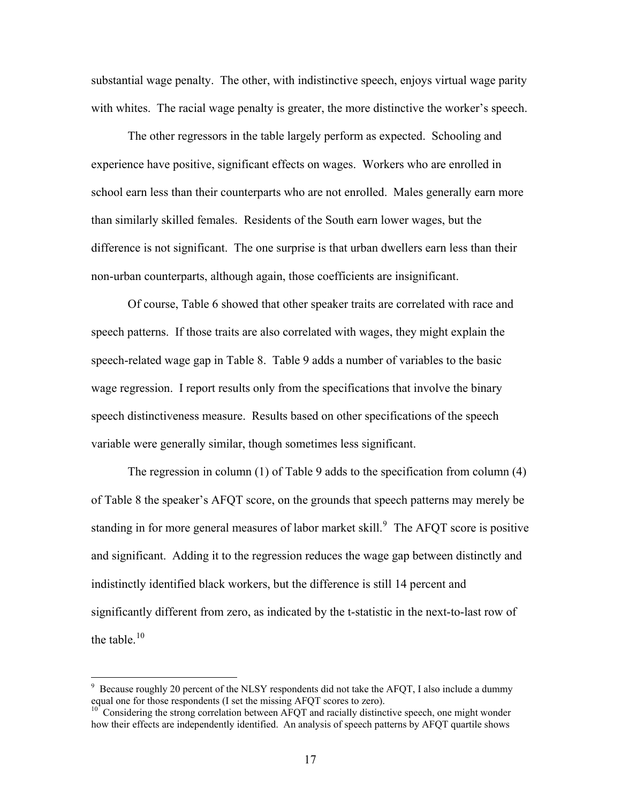substantial wage penalty. The other, with indistinctive speech, enjoys virtual wage parity with whites. The racial wage penalty is greater, the more distinctive the worker's speech.

 The other regressors in the table largely perform as expected. Schooling and experience have positive, significant effects on wages. Workers who are enrolled in school earn less than their counterparts who are not enrolled. Males generally earn more than similarly skilled females. Residents of the South earn lower wages, but the difference is not significant. The one surprise is that urban dwellers earn less than their non-urban counterparts, although again, those coefficients are insignificant.

 Of course, Table 6 showed that other speaker traits are correlated with race and speech patterns. If those traits are also correlated with wages, they might explain the speech-related wage gap in Table 8. Table 9 adds a number of variables to the basic wage regression. I report results only from the specifications that involve the binary speech distinctiveness measure. Results based on other specifications of the speech variable were generally similar, though sometimes less significant.

 The regression in column (1) of Table 9 adds to the specification from column (4) of Table 8 the speaker's AFQT score, on the grounds that speech patterns may merely be standing in for more general measures of labor market skill.<sup>[9](#page-17-0)</sup> The AFQT score is positive and significant. Adding it to the regression reduces the wage gap between distinctly and indistinctly identified black workers, but the difference is still 14 percent and significantly different from zero, as indicated by the t-statistic in the next-to-last row of the table. $10$ 

<span id="page-17-0"></span><sup>&</sup>lt;sup>9</sup> Because roughly 20 percent of the NLSY respondents did not take the AFQT, I also include a dummy equal one for those respondents (I set the missing AFQT scores to zero).

<span id="page-17-1"></span><sup>&</sup>lt;sup>10</sup> Considering the strong correlation between AFQT and racially distinctive speech, one might wonder how their effects are independently identified. An analysis of speech patterns by AFQT quartile shows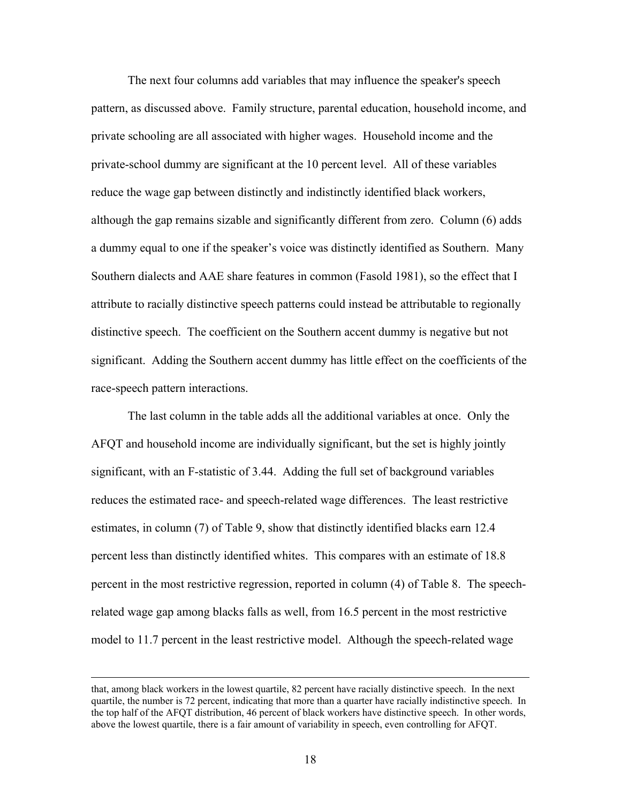The next four columns add variables that may influence the speaker's speech pattern, as discussed above. Family structure, parental education, household income, and private schooling are all associated with higher wages. Household income and the private-school dummy are significant at the 10 percent level. All of these variables reduce the wage gap between distinctly and indistinctly identified black workers, although the gap remains sizable and significantly different from zero. Column (6) adds a dummy equal to one if the speaker's voice was distinctly identified as Southern. Many Southern dialects and AAE share features in common (Fasold 1981), so the effect that I attribute to racially distinctive speech patterns could instead be attributable to regionally distinctive speech. The coefficient on the Southern accent dummy is negative but not significant. Adding the Southern accent dummy has little effect on the coefficients of the race-speech pattern interactions.

 The last column in the table adds all the additional variables at once. Only the AFQT and household income are individually significant, but the set is highly jointly significant, with an F-statistic of 3.44. Adding the full set of background variables reduces the estimated race- and speech-related wage differences. The least restrictive estimates, in column (7) of Table 9, show that distinctly identified blacks earn 12.4 percent less than distinctly identified whites. This compares with an estimate of 18.8 percent in the most restrictive regression, reported in column (4) of Table 8. The speechrelated wage gap among blacks falls as well, from 16.5 percent in the most restrictive model to 11.7 percent in the least restrictive model. Although the speech-related wage

that, among black workers in the lowest quartile, 82 percent have racially distinctive speech. In the next quartile, the number is 72 percent, indicating that more than a quarter have racially indistinctive speech. In the top half of the AFQT distribution, 46 percent of black workers have distinctive speech. In other words, above the lowest quartile, there is a fair amount of variability in speech, even controlling for AFQT.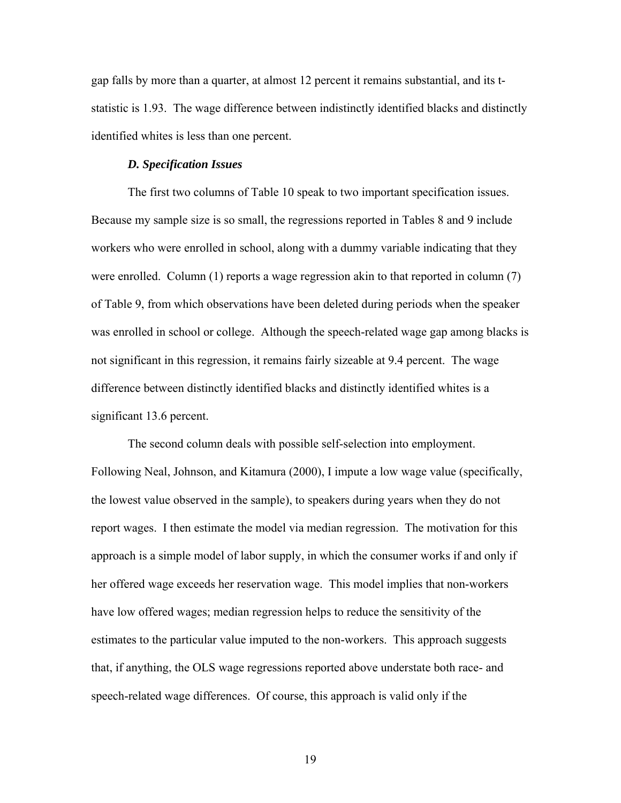gap falls by more than a quarter, at almost 12 percent it remains substantial, and its tstatistic is 1.93. The wage difference between indistinctly identified blacks and distinctly identified whites is less than one percent.

## *D. Specification Issues*

 The first two columns of Table 10 speak to two important specification issues. Because my sample size is so small, the regressions reported in Tables 8 and 9 include workers who were enrolled in school, along with a dummy variable indicating that they were enrolled. Column (1) reports a wage regression akin to that reported in column (7) of Table 9, from which observations have been deleted during periods when the speaker was enrolled in school or college. Although the speech-related wage gap among blacks is not significant in this regression, it remains fairly sizeable at 9.4 percent. The wage difference between distinctly identified blacks and distinctly identified whites is a significant 13.6 percent.

 The second column deals with possible self-selection into employment. Following Neal, Johnson, and Kitamura (2000), I impute a low wage value (specifically, the lowest value observed in the sample), to speakers during years when they do not report wages. I then estimate the model via median regression. The motivation for this approach is a simple model of labor supply, in which the consumer works if and only if her offered wage exceeds her reservation wage. This model implies that non-workers have low offered wages; median regression helps to reduce the sensitivity of the estimates to the particular value imputed to the non-workers. This approach suggests that, if anything, the OLS wage regressions reported above understate both race- and speech-related wage differences. Of course, this approach is valid only if the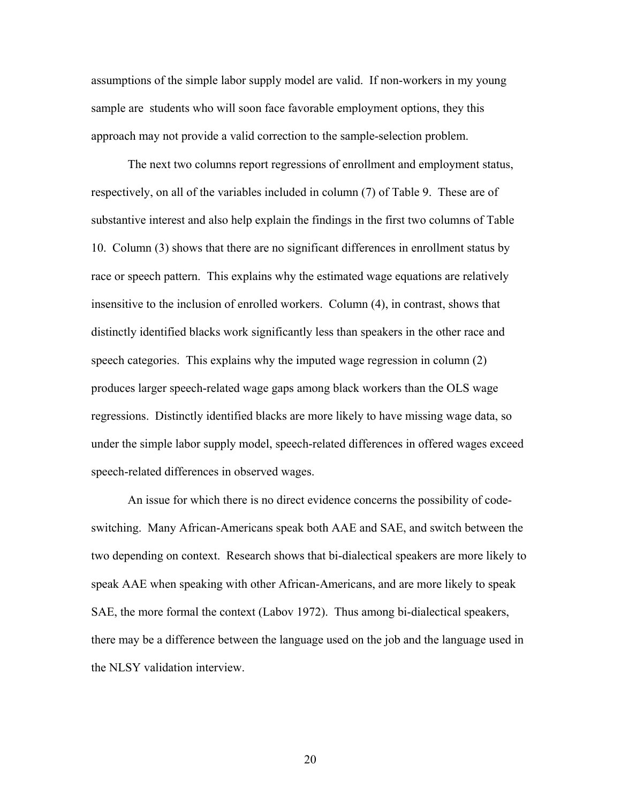assumptions of the simple labor supply model are valid. If non-workers in my young sample are students who will soon face favorable employment options, they this approach may not provide a valid correction to the sample-selection problem.

 The next two columns report regressions of enrollment and employment status, respectively, on all of the variables included in column (7) of Table 9. These are of substantive interest and also help explain the findings in the first two columns of Table 10. Column (3) shows that there are no significant differences in enrollment status by race or speech pattern. This explains why the estimated wage equations are relatively insensitive to the inclusion of enrolled workers. Column (4), in contrast, shows that distinctly identified blacks work significantly less than speakers in the other race and speech categories. This explains why the imputed wage regression in column (2) produces larger speech-related wage gaps among black workers than the OLS wage regressions. Distinctly identified blacks are more likely to have missing wage data, so under the simple labor supply model, speech-related differences in offered wages exceed speech-related differences in observed wages.

 An issue for which there is no direct evidence concerns the possibility of codeswitching. Many African-Americans speak both AAE and SAE, and switch between the two depending on context. Research shows that bi-dialectical speakers are more likely to speak AAE when speaking with other African-Americans, and are more likely to speak SAE, the more formal the context (Labov 1972). Thus among bi-dialectical speakers, there may be a difference between the language used on the job and the language used in the NLSY validation interview.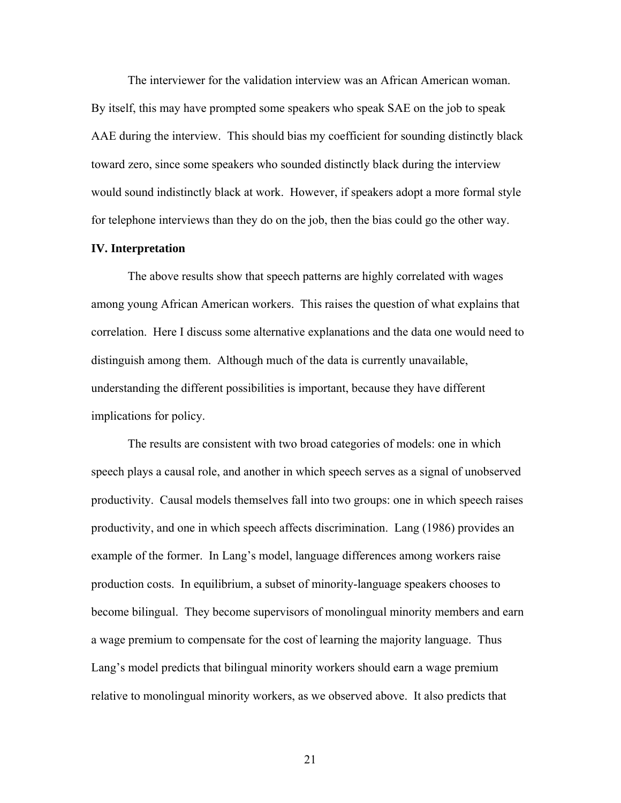The interviewer for the validation interview was an African American woman. By itself, this may have prompted some speakers who speak SAE on the job to speak AAE during the interview. This should bias my coefficient for sounding distinctly black toward zero, since some speakers who sounded distinctly black during the interview would sound indistinctly black at work. However, if speakers adopt a more formal style for telephone interviews than they do on the job, then the bias could go the other way.

### **IV. Interpretation**

 The above results show that speech patterns are highly correlated with wages among young African American workers. This raises the question of what explains that correlation. Here I discuss some alternative explanations and the data one would need to distinguish among them. Although much of the data is currently unavailable, understanding the different possibilities is important, because they have different implications for policy.

 The results are consistent with two broad categories of models: one in which speech plays a causal role, and another in which speech serves as a signal of unobserved productivity. Causal models themselves fall into two groups: one in which speech raises productivity, and one in which speech affects discrimination. Lang (1986) provides an example of the former. In Lang's model, language differences among workers raise production costs. In equilibrium, a subset of minority-language speakers chooses to become bilingual. They become supervisors of monolingual minority members and earn a wage premium to compensate for the cost of learning the majority language. Thus Lang's model predicts that bilingual minority workers should earn a wage premium relative to monolingual minority workers, as we observed above. It also predicts that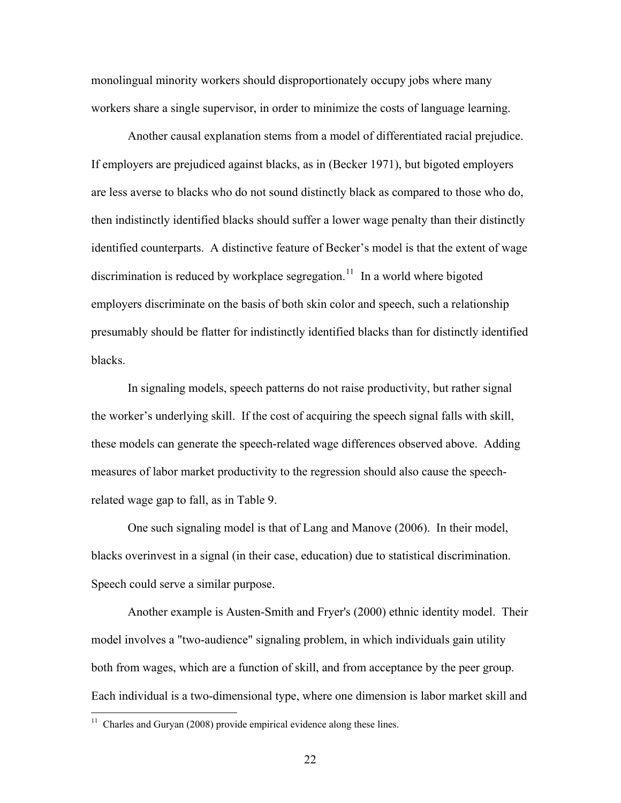monolingual minority workers should disproportionately occupy jobs where many workers share a single supervisor, in order to minimize the costs of language learning.

 Another causal explanation stems from a model of differentiated racial prejudice. If employers are prejudiced against blacks, as in (Becker 1971), but bigoted employers are less averse to blacks who do not sound distinctly black as compared to those who do, then indistinctly identified blacks should suffer a lower wage penalty than their distinctly identified counterparts. A distinctive feature of Becker's model is that the extent of wage discrimination is reduced by workplace segregation.<sup>[11](#page-22-0)</sup> In a world where bigoted employers discriminate on the basis of both skin color and speech, such a relationship presumably should be flatter for indistinctly identified blacks than for distinctly identified blacks.

 In signaling models, speech patterns do not raise productivity, but rather signal the worker's underlying skill. If the cost of acquiring the speech signal falls with skill, these models can generate the speech-related wage differences observed above. Adding measures of labor market productivity to the regression should also cause the speechrelated wage gap to fall, as in Table 9.

 One such signaling model is that of Lang and Manove (2006). In their model, blacks overinvest in a signal (in their case, education) due to statistical discrimination. Speech could serve a similar purpose.

 Another example is Austen-Smith and Fryer's (2000) ethnic identity model. Their model involves a "two-audience" signaling problem, in which individuals gain utility both from wages, which are a function of skill, and from acceptance by the peer group. Each individual is a two-dimensional type, where one dimension is labor market skill and

 $\overline{a}$ 

<span id="page-22-0"></span> $11$  Charles and Guryan (2008) provide empirical evidence along these lines.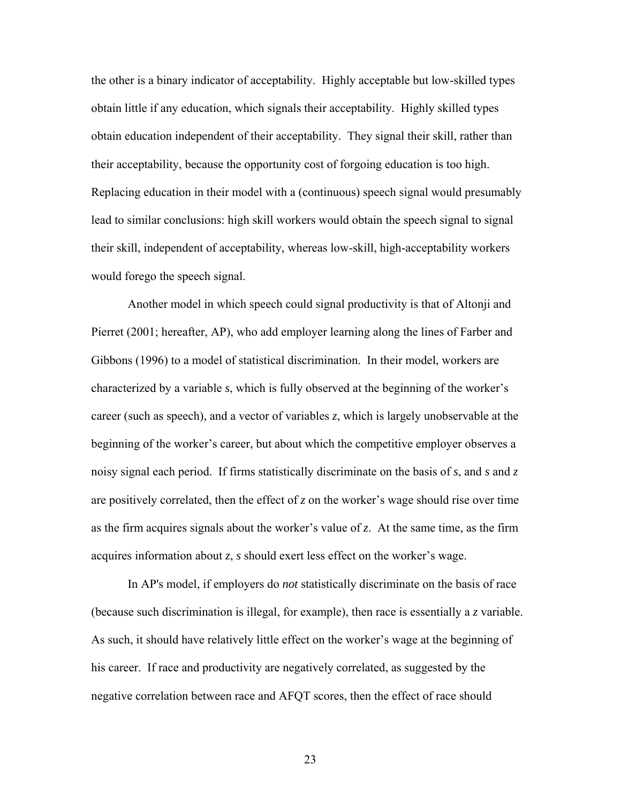the other is a binary indicator of acceptability. Highly acceptable but low-skilled types obtain little if any education, which signals their acceptability. Highly skilled types obtain education independent of their acceptability. They signal their skill, rather than their acceptability, because the opportunity cost of forgoing education is too high. Replacing education in their model with a (continuous) speech signal would presumably lead to similar conclusions: high skill workers would obtain the speech signal to signal their skill, independent of acceptability, whereas low-skill, high-acceptability workers would forego the speech signal.

 Another model in which speech could signal productivity is that of Altonji and Pierret (2001; hereafter, AP), who add employer learning along the lines of Farber and Gibbons (1996) to a model of statistical discrimination. In their model, workers are characterized by a variable *s*, which is fully observed at the beginning of the worker's career (such as speech), and a vector of variables *z*, which is largely unobservable at the beginning of the worker's career, but about which the competitive employer observes a noisy signal each period. If firms statistically discriminate on the basis of *s*, and *s* and *z* are positively correlated, then the effect of  $z$  on the worker's wage should rise over time as the firm acquires signals about the worker's value of *z*. At the same time, as the firm acquires information about *z*, *s* should exert less effect on the worker's wage.

 In AP's model, if employers do *not* statistically discriminate on the basis of race (because such discrimination is illegal, for example), then race is essentially a *z* variable. As such, it should have relatively little effect on the worker's wage at the beginning of his career. If race and productivity are negatively correlated, as suggested by the negative correlation between race and AFQT scores, then the effect of race should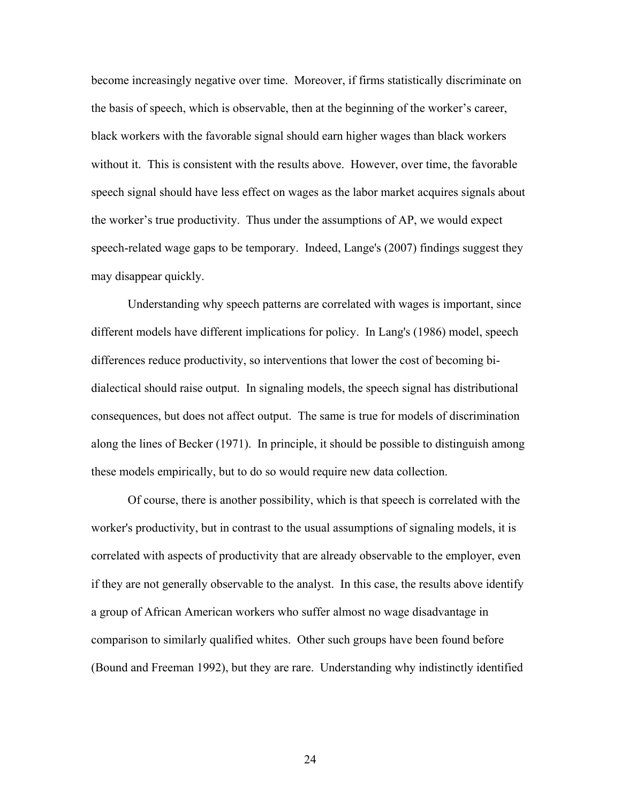become increasingly negative over time. Moreover, if firms statistically discriminate on the basis of speech, which is observable, then at the beginning of the worker's career, black workers with the favorable signal should earn higher wages than black workers without it. This is consistent with the results above. However, over time, the favorable speech signal should have less effect on wages as the labor market acquires signals about the worker's true productivity. Thus under the assumptions of AP, we would expect speech-related wage gaps to be temporary. Indeed, Lange's (2007) findings suggest they may disappear quickly.

 Understanding why speech patterns are correlated with wages is important, since different models have different implications for policy. In Lang's (1986) model, speech differences reduce productivity, so interventions that lower the cost of becoming bidialectical should raise output. In signaling models, the speech signal has distributional consequences, but does not affect output. The same is true for models of discrimination along the lines of Becker (1971). In principle, it should be possible to distinguish among these models empirically, but to do so would require new data collection.

 Of course, there is another possibility, which is that speech is correlated with the worker's productivity, but in contrast to the usual assumptions of signaling models, it is correlated with aspects of productivity that are already observable to the employer, even if they are not generally observable to the analyst. In this case, the results above identify a group of African American workers who suffer almost no wage disadvantage in comparison to similarly qualified whites. Other such groups have been found before (Bound and Freeman 1992), but they are rare. Understanding why indistinctly identified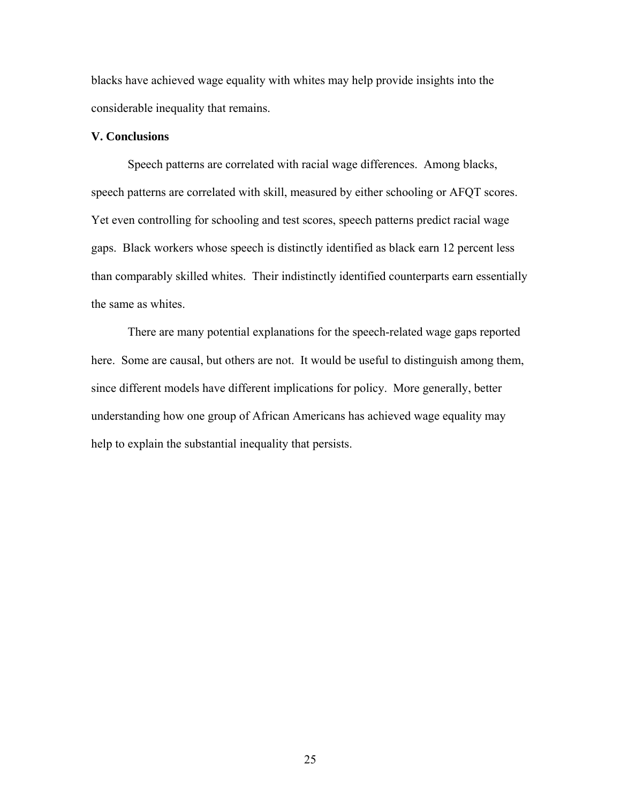blacks have achieved wage equality with whites may help provide insights into the considerable inequality that remains.

## **V. Conclusions**

 Speech patterns are correlated with racial wage differences. Among blacks, speech patterns are correlated with skill, measured by either schooling or AFQT scores. Yet even controlling for schooling and test scores, speech patterns predict racial wage gaps. Black workers whose speech is distinctly identified as black earn 12 percent less than comparably skilled whites. Their indistinctly identified counterparts earn essentially the same as whites.

 There are many potential explanations for the speech-related wage gaps reported here. Some are causal, but others are not. It would be useful to distinguish among them, since different models have different implications for policy. More generally, better understanding how one group of African Americans has achieved wage equality may help to explain the substantial inequality that persists.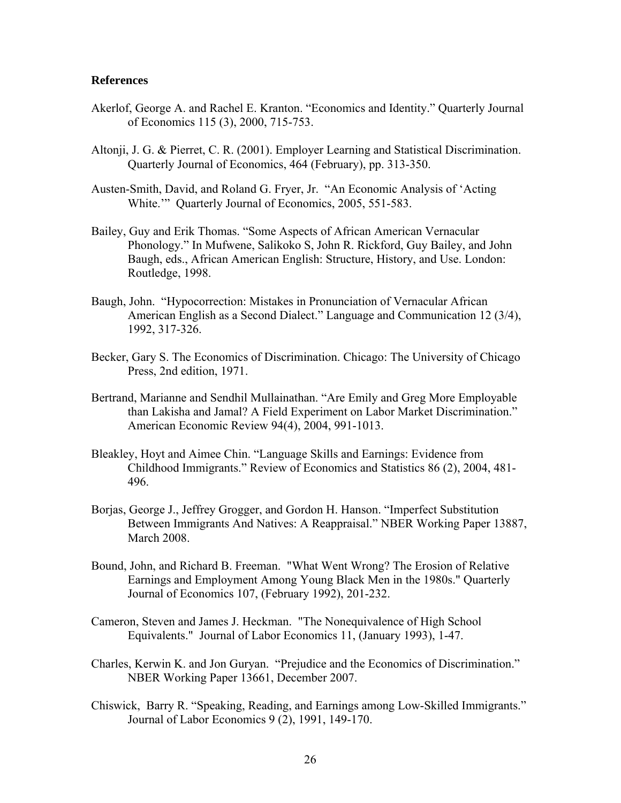## **References**

- Akerlof, George A. and Rachel E. Kranton. "Economics and Identity." Quarterly Journal of Economics 115 (3), 2000, 715-753.
- Altonji, J. G. & Pierret, C. R. (2001). Employer Learning and Statistical Discrimination. Quarterly Journal of Economics, 464 (February), pp. 313-350.
- Austen-Smith, David, and Roland G. Fryer, Jr. "An Economic Analysis of 'Acting White." Quarterly Journal of Economics, 2005, 551-583.
- Bailey, Guy and Erik Thomas. "Some Aspects of African American Vernacular Phonology." In Mufwene, Salikoko S, John R. Rickford, Guy Bailey, and John Baugh, eds., African American English: Structure, History, and Use. London: Routledge, 1998.
- Baugh, John. "Hypocorrection: Mistakes in Pronunciation of Vernacular African American English as a Second Dialect." Language and Communication 12 (3/4), 1992, 317-326.
- Becker, Gary S. The Economics of Discrimination. Chicago: The University of Chicago Press, 2nd edition, 1971.
- Bertrand, Marianne and Sendhil Mullainathan. "Are Emily and Greg More Employable than Lakisha and Jamal? A Field Experiment on Labor Market Discrimination." American Economic Review 94(4), 2004, 991-1013.
- Bleakley, Hoyt and Aimee Chin. "Language Skills and Earnings: Evidence from Childhood Immigrants." Review of Economics and Statistics 86 (2), 2004, 481- 496.
- Borjas, George J., Jeffrey Grogger, and Gordon H. Hanson. "Imperfect Substitution Between Immigrants And Natives: A Reappraisal." NBER Working Paper 13887, March 2008.
- Bound, John, and Richard B. Freeman. "What Went Wrong? The Erosion of Relative Earnings and Employment Among Young Black Men in the 1980s." Quarterly Journal of Economics 107, (February 1992), 201-232.
- Cameron, Steven and James J. Heckman. "The Nonequivalence of High School Equivalents." Journal of Labor Economics 11, (January 1993), 1-47.
- Charles, Kerwin K. and Jon Guryan. "Prejudice and the Economics of Discrimination." NBER Working Paper 13661, December 2007.
- Chiswick, Barry R. "Speaking, Reading, and Earnings among Low-Skilled Immigrants." Journal of Labor Economics 9 (2), 1991, 149-170.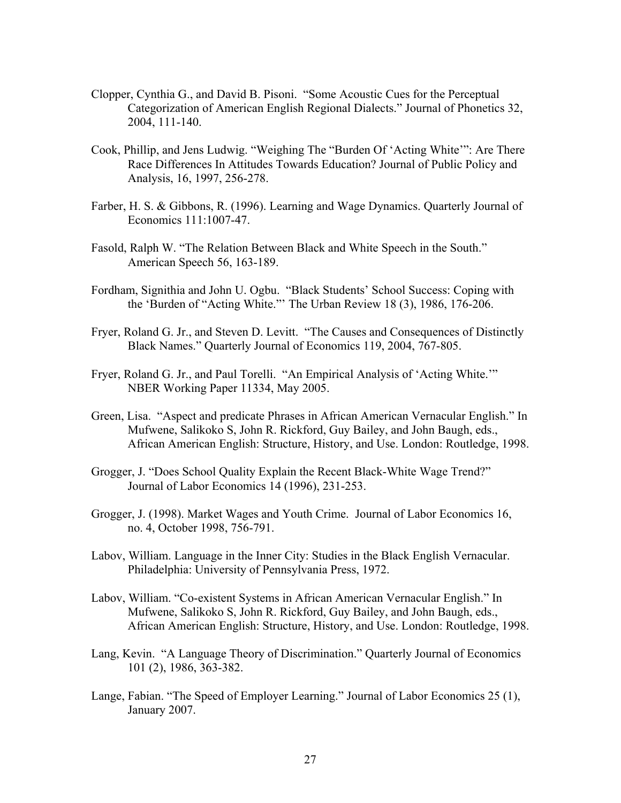- Clopper, Cynthia G., and David B. Pisoni. "Some Acoustic Cues for the Perceptual Categorization of American English Regional Dialects." Journal of Phonetics 32, 2004, 111-140.
- Cook, Phillip, and Jens Ludwig. "Weighing The "Burden Of 'Acting White'": Are There Race Differences In Attitudes Towards Education? Journal of Public Policy and Analysis, 16, 1997, 256-278.
- Farber, H. S. & Gibbons, R. (1996). Learning and Wage Dynamics. Quarterly Journal of Economics 111:1007-47.
- Fasold, Ralph W. "The Relation Between Black and White Speech in the South." American Speech 56, 163-189.
- Fordham, Signithia and John U. Ogbu. "Black Students' School Success: Coping with the 'Burden of "Acting White."' The Urban Review 18 (3), 1986, 176-206.
- Fryer, Roland G. Jr., and Steven D. Levitt. "The Causes and Consequences of Distinctly Black Names." Quarterly Journal of Economics 119, 2004, 767-805.
- Fryer, Roland G. Jr., and Paul Torelli. "An Empirical Analysis of 'Acting White.'" NBER Working Paper 11334, May 2005.
- Green, Lisa. "Aspect and predicate Phrases in African American Vernacular English." In Mufwene, Salikoko S, John R. Rickford, Guy Bailey, and John Baugh, eds., African American English: Structure, History, and Use. London: Routledge, 1998.
- Grogger, J. "Does School Quality Explain the Recent Black-White Wage Trend?" Journal of Labor Economics 14 (1996), 231-253.
- Grogger, J. (1998). Market Wages and Youth Crime. Journal of Labor Economics 16, no. 4, October 1998, 756-791.
- Labov, William. Language in the Inner City: Studies in the Black English Vernacular. Philadelphia: University of Pennsylvania Press, 1972.
- Labov, William. "Co-existent Systems in African American Vernacular English." In Mufwene, Salikoko S, John R. Rickford, Guy Bailey, and John Baugh, eds., African American English: Structure, History, and Use. London: Routledge, 1998.
- Lang, Kevin. "A Language Theory of Discrimination." Quarterly Journal of Economics 101 (2), 1986, 363-382.
- Lange, Fabian. "The Speed of Employer Learning." Journal of Labor Economics 25 (1), January 2007.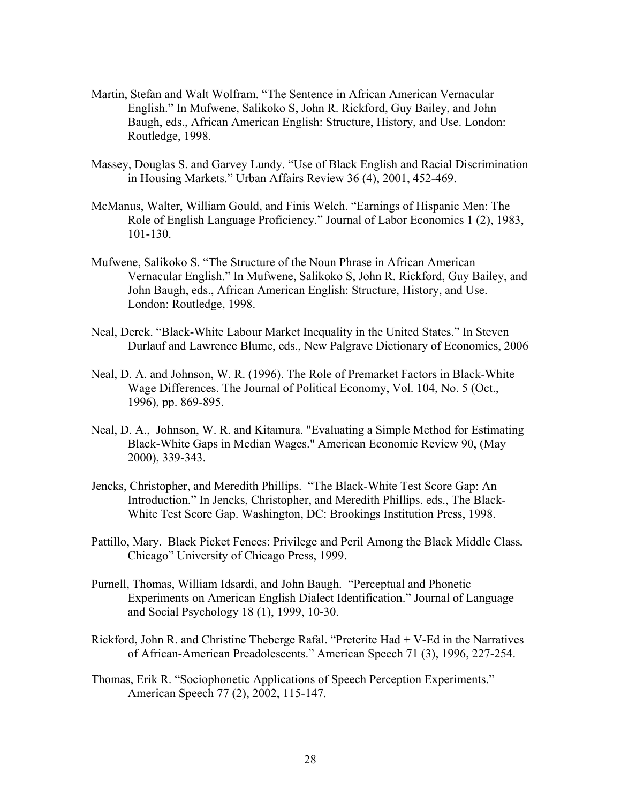- Martin, Stefan and Walt Wolfram. "The Sentence in African American Vernacular English." In Mufwene, Salikoko S, John R. Rickford, Guy Bailey, and John Baugh, eds., African American English: Structure, History, and Use. London: Routledge, 1998.
- Massey, Douglas S. and Garvey Lundy. "Use of Black English and Racial Discrimination in Housing Markets." Urban Affairs Review 36 (4), 2001, 452-469.
- McManus, Walter, William Gould, and Finis Welch. "Earnings of Hispanic Men: The Role of English Language Proficiency." Journal of Labor Economics 1 (2), 1983, 101-130.
- Mufwene, Salikoko S. "The Structure of the Noun Phrase in African American Vernacular English." In Mufwene, Salikoko S, John R. Rickford, Guy Bailey, and John Baugh, eds., African American English: Structure, History, and Use. London: Routledge, 1998.
- Neal, Derek. "Black-White Labour Market Inequality in the United States." In Steven Durlauf and Lawrence Blume, eds., New Palgrave Dictionary of Economics, 2006
- Neal, D. A. and Johnson, W. R. (1996). The Role of Premarket Factors in Black-White Wage Differences. The Journal of Political Economy, Vol. 104, No. 5 (Oct., 1996), pp. 869-895.
- Neal, D. A., Johnson, W. R. and Kitamura. "Evaluating a Simple Method for Estimating Black-White Gaps in Median Wages." American Economic Review 90, (May 2000), 339-343.
- Jencks, Christopher, and Meredith Phillips. "The Black-White Test Score Gap: An Introduction." In Jencks, Christopher, and Meredith Phillips. eds., The Black-White Test Score Gap. Washington, DC: Brookings Institution Press, 1998.
- Pattillo, Mary. Black Picket Fences: Privilege and Peril Among the Black Middle Class*.* Chicago" University of Chicago Press, 1999.
- Purnell, Thomas, William Idsardi, and John Baugh. "Perceptual and Phonetic Experiments on American English Dialect Identification." Journal of Language and Social Psychology 18 (1), 1999, 10-30.
- Rickford, John R. and Christine Theberge Rafal. "Preterite Had + V-Ed in the Narratives of African-American Preadolescents." American Speech 71 (3), 1996, 227-254.
- Thomas, Erik R. "Sociophonetic Applications of Speech Perception Experiments." American Speech 77 (2), 2002, 115-147.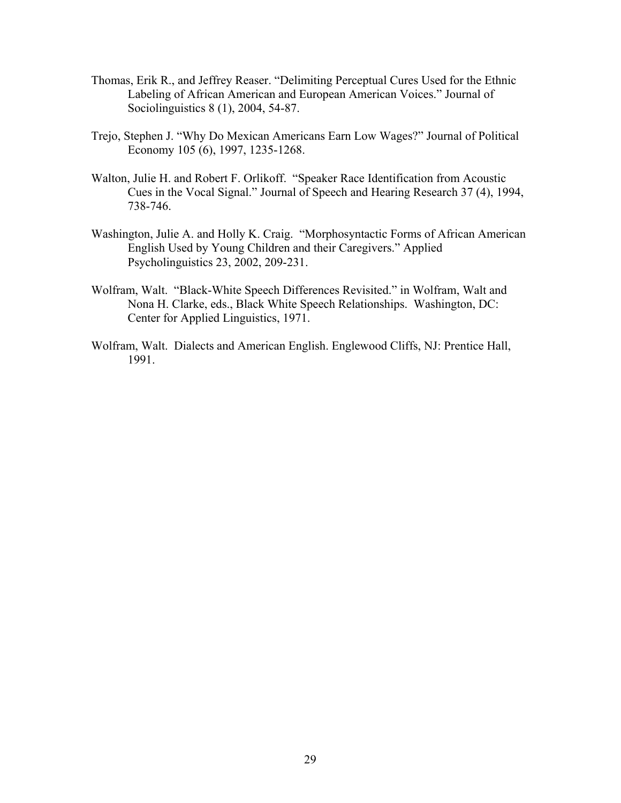- Thomas, Erik R., and Jeffrey Reaser. "Delimiting Perceptual Cures Used for the Ethnic Labeling of African American and European American Voices." Journal of Sociolinguistics 8 (1), 2004, 54-87.
- Trejo, Stephen J. "Why Do Mexican Americans Earn Low Wages?" Journal of Political Economy 105 (6), 1997, 1235-1268.
- Walton, Julie H. and Robert F. Orlikoff. "Speaker Race Identification from Acoustic Cues in the Vocal Signal." Journal of Speech and Hearing Research 37 (4), 1994, 738-746.
- Washington, Julie A. and Holly K. Craig. "Morphosyntactic Forms of African American English Used by Young Children and their Caregivers." Applied Psycholinguistics 23, 2002, 209-231.
- Wolfram, Walt. "Black-White Speech Differences Revisited." in Wolfram, Walt and Nona H. Clarke, eds., Black White Speech Relationships. Washington, DC: Center for Applied Linguistics, 1971.
- Wolfram, Walt. Dialects and American English. Englewood Cliffs, NJ: Prentice Hall, 1991.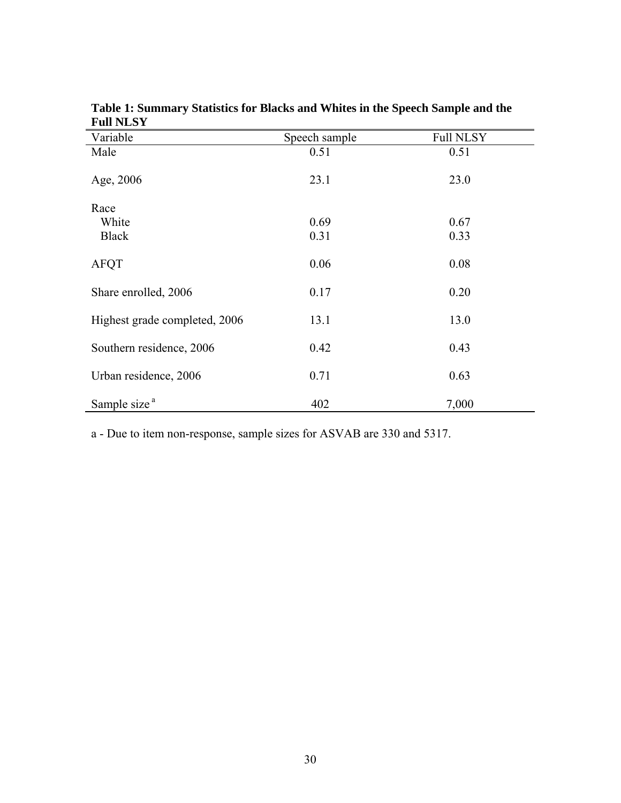| Variable                      | Speech sample | <b>Full NLSY</b> |
|-------------------------------|---------------|------------------|
| Male                          | 0.51          | 0.51             |
| Age, 2006                     | 23.1          | 23.0             |
| Race                          |               |                  |
| White                         | 0.69          | 0.67             |
| <b>Black</b>                  | 0.31          | 0.33             |
| <b>AFQT</b>                   | 0.06          | 0.08             |
| Share enrolled, 2006          | 0.17          | 0.20             |
| Highest grade completed, 2006 | 13.1          | 13.0             |
| Southern residence, 2006      | 0.42          | 0.43             |
| Urban residence, 2006         | 0.71          | 0.63             |
| Sample size <sup>a</sup>      | 402           | 7,000            |

**Table 1: Summary Statistics for Blacks and Whites in the Speech Sample and the Full NLSY** 

a - Due to item non-response, sample sizes for ASVAB are 330 and 5317.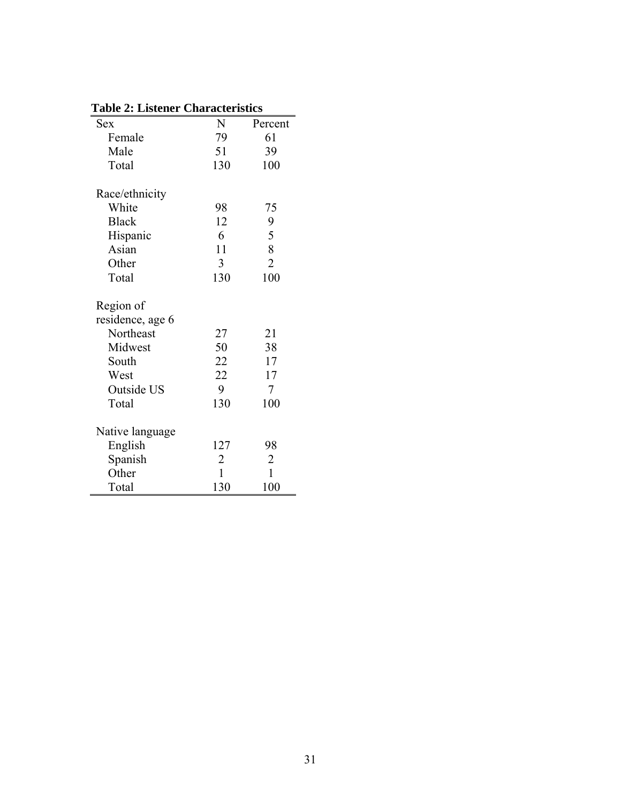| Table 2: Listener Characteristics |     |                |  |  |  |  |  |
|-----------------------------------|-----|----------------|--|--|--|--|--|
| Sex                               | N   | Percent        |  |  |  |  |  |
| Female                            | 79  | 61             |  |  |  |  |  |
| Male                              | 51  | 39             |  |  |  |  |  |
| Total                             | 130 | 100            |  |  |  |  |  |
| Race/ethnicity                    |     |                |  |  |  |  |  |
| White                             | 98  | 75             |  |  |  |  |  |
| <b>Black</b>                      | 12  | 9              |  |  |  |  |  |
| Hispanic                          | 6   | 5              |  |  |  |  |  |
| Asian                             | 11  | 8              |  |  |  |  |  |
| Other                             | 3   | $\overline{2}$ |  |  |  |  |  |
| Total                             | 130 | 100            |  |  |  |  |  |
| Region of                         |     |                |  |  |  |  |  |
| residence, age 6                  |     |                |  |  |  |  |  |
| Northeast                         | 27  | 21             |  |  |  |  |  |
| Midwest                           | 50  | 38             |  |  |  |  |  |
| South                             | 22  | 17             |  |  |  |  |  |
| West                              | 22  | 17             |  |  |  |  |  |
| Outside US                        | 9   | 7              |  |  |  |  |  |
| Total                             | 130 | 100            |  |  |  |  |  |
| Native language                   |     |                |  |  |  |  |  |
| English                           | 127 | 98             |  |  |  |  |  |
| Spanish                           | 2   | $\overline{2}$ |  |  |  |  |  |
| Other                             | 1   | 1              |  |  |  |  |  |
| Total                             | 130 | 100            |  |  |  |  |  |

# **Table 2: Listener Characteristics**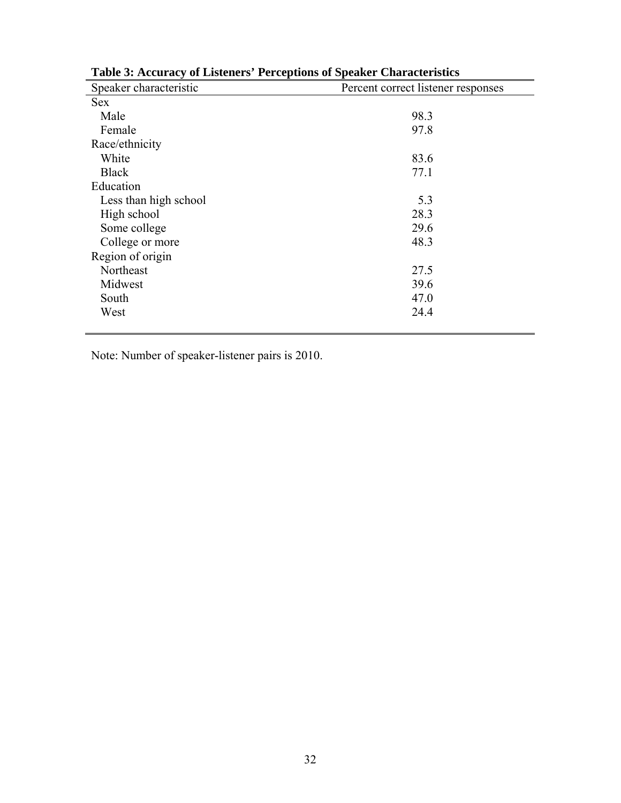| Lable 5. Accuracy of Listeners Terceptions of Speaker Characteristics |                                    |  |  |  |  |  |  |
|-----------------------------------------------------------------------|------------------------------------|--|--|--|--|--|--|
| Speaker characteristic                                                | Percent correct listener responses |  |  |  |  |  |  |
| <b>Sex</b>                                                            |                                    |  |  |  |  |  |  |
| Male                                                                  | 98.3                               |  |  |  |  |  |  |
| Female                                                                | 97.8                               |  |  |  |  |  |  |
| Race/ethnicity                                                        |                                    |  |  |  |  |  |  |
| White                                                                 | 83.6                               |  |  |  |  |  |  |
| <b>Black</b>                                                          | 77.1                               |  |  |  |  |  |  |
| Education                                                             |                                    |  |  |  |  |  |  |
| Less than high school                                                 | 5.3                                |  |  |  |  |  |  |
| High school                                                           | 28.3                               |  |  |  |  |  |  |
| Some college                                                          | 29.6                               |  |  |  |  |  |  |
| College or more                                                       | 48.3                               |  |  |  |  |  |  |
| Region of origin                                                      |                                    |  |  |  |  |  |  |
| Northeast                                                             | 27.5                               |  |  |  |  |  |  |
| Midwest                                                               | 39.6                               |  |  |  |  |  |  |
| South                                                                 | 47.0                               |  |  |  |  |  |  |
| West                                                                  | 24.4                               |  |  |  |  |  |  |
|                                                                       |                                    |  |  |  |  |  |  |

|  |  |  |  | Table 3: Accuracy of Listeners' Perceptions of Speaker Characteristics |
|--|--|--|--|------------------------------------------------------------------------|
|  |  |  |  |                                                                        |

Note: Number of speaker-listener pairs is 2010.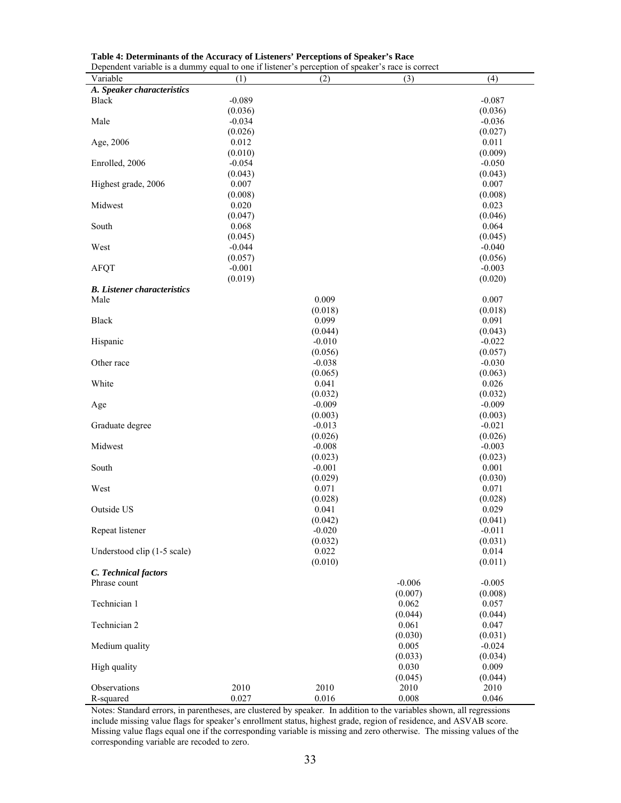| Variable                           | (1)      | (2)      | (3)      | (4)      |
|------------------------------------|----------|----------|----------|----------|
| A. Speaker characteristics         |          |          |          |          |
| <b>Black</b>                       | $-0.089$ |          |          | $-0.087$ |
|                                    | (0.036)  |          |          | (0.036)  |
| Male                               | $-0.034$ |          |          | $-0.036$ |
|                                    | (0.026)  |          |          | (0.027)  |
| Age, 2006                          | 0.012    |          |          | 0.011    |
|                                    | (0.010)  |          |          | (0.009)  |
| Enrolled, 2006                     | $-0.054$ |          |          | $-0.050$ |
|                                    | (0.043)  |          |          | (0.043)  |
| Highest grade, 2006                | 0.007    |          |          | 0.007    |
|                                    | (0.008)  |          |          | (0.008)  |
| Midwest                            | 0.020    |          |          | 0.023    |
|                                    | (0.047)  |          |          | (0.046)  |
| South                              | 0.068    |          |          | 0.064    |
|                                    | (0.045)  |          |          | (0.045)  |
| West                               | $-0.044$ |          |          | $-0.040$ |
|                                    | (0.057)  |          |          | (0.056)  |
| <b>AFQT</b>                        | $-0.001$ |          |          | $-0.003$ |
|                                    | (0.019)  |          |          | (0.020)  |
| <b>B.</b> Listener characteristics |          |          |          |          |
| Male                               |          | 0.009    |          | 0.007    |
|                                    |          | (0.018)  |          | (0.018)  |
| <b>Black</b>                       |          | 0.099    |          | 0.091    |
|                                    |          | (0.044)  |          | (0.043)  |
|                                    |          | $-0.010$ |          | $-0.022$ |
| Hispanic                           |          |          |          |          |
|                                    |          | (0.056)  |          | (0.057)  |
| Other race                         |          | $-0.038$ |          | $-0.030$ |
|                                    |          | (0.065)  |          | (0.063)  |
| White                              |          | 0.041    |          | 0.026    |
|                                    |          | (0.032)  |          | (0.032)  |
| Age                                |          | $-0.009$ |          | $-0.009$ |
|                                    |          | (0.003)  |          | (0.003)  |
| Graduate degree                    |          | $-0.013$ |          | $-0.021$ |
|                                    |          | (0.026)  |          | (0.026)  |
| Midwest                            |          | $-0.008$ |          | $-0.003$ |
|                                    |          | (0.023)  |          | (0.023)  |
| South                              |          | $-0.001$ |          | 0.001    |
|                                    |          | (0.029)  |          | (0.030)  |
| West                               |          | 0.071    |          | 0.071    |
|                                    |          | (0.028)  |          | (0.028)  |
| Outside US                         |          | 0.041    |          | 0.029    |
|                                    |          | (0.042)  |          | (0.041)  |
| Repeat listener                    |          | $-0.020$ |          | $-0.011$ |
|                                    |          | (0.032)  |          | (0.031)  |
| Understood clip (1-5 scale)        |          | 0.022    |          | 0.014    |
|                                    |          | (0.010)  |          | (0.011)  |
| C. Technical factors               |          |          |          |          |
| Phrase count                       |          |          | $-0.006$ | $-0.005$ |
|                                    |          |          | (0.007)  | (0.008)  |
| Technician 1                       |          |          | 0.062    | 0.057    |
|                                    |          |          | (0.044)  | (0.044)  |
| Technician 2                       |          |          | 0.061    | 0.047    |
|                                    |          |          | (0.030)  | (0.031)  |
| Medium quality                     |          |          | 0.005    | $-0.024$ |
|                                    |          |          | (0.033)  | (0.034)  |
| High quality                       |          |          | 0.030    | 0.009    |
|                                    |          |          | (0.045)  | (0.044)  |

**Table 4: Determinants of the Accuracy of Listeners' Perceptions of Speaker's Race**  Dependent variable is a dummy equal to one if listener's perception of speaker's race is correct

Notes: Standard errors, in parentheses, are clustered by speaker. In addition to the variables shown, all regressions include missing value flags for speaker's enrollment status, highest grade, region of residence, and ASVAB score. Missing value flags equal one if the corresponding variable is missing and zero otherwise. The missing values of the corresponding variable are recoded to zero.

Observations 2010 2010 2010 2010 2010 2010 R-squared 0.027 0.016 0.008 0.046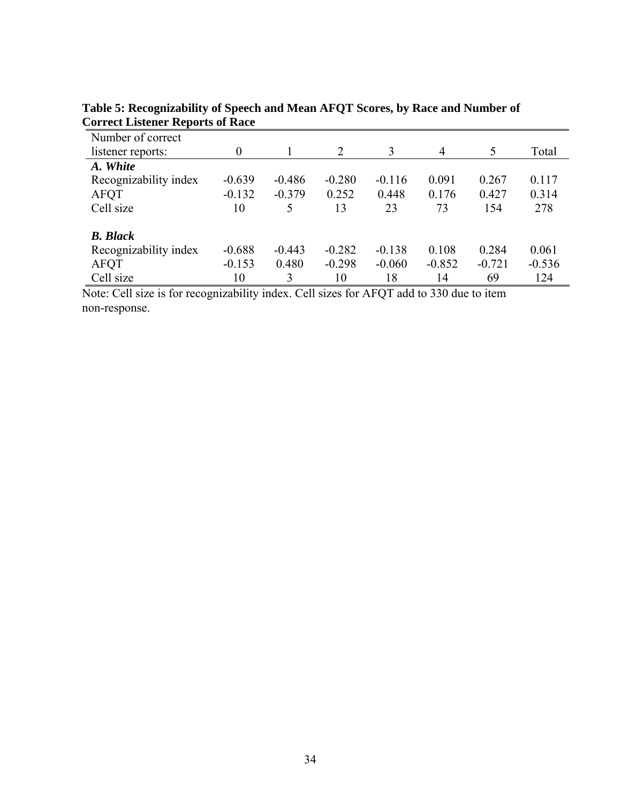| Number of correct     |                |          |          |          |          |          |          |
|-----------------------|----------------|----------|----------|----------|----------|----------|----------|
| listener reports:     | $\overline{0}$ |          | 2        | 3        | 4        |          | Total    |
| A. White              |                |          |          |          |          |          |          |
| Recognizability index | $-0.639$       | $-0.486$ | $-0.280$ | $-0.116$ | 0.091    | 0.267    | 0.117    |
| <b>AFQT</b>           | $-0.132$       | $-0.379$ | 0.252    | 0.448    | 0.176    | 0.427    | 0.314    |
| Cell size             | 10             | 5        | 13       | 23       | 73       | 154      | 278      |
| <b>B.</b> Black       |                |          |          |          |          |          |          |
| Recognizability index | $-0.688$       | $-0.443$ | $-0.282$ | $-0.138$ | 0.108    | 0.284    | 0.061    |
| <b>AFQT</b>           | $-0.153$       | 0.480    | $-0.298$ | $-0.060$ | $-0.852$ | $-0.721$ | $-0.536$ |
| Cell size             | 10             | 3        | 10       | 18       | 14       | 69       | 124      |

**Table 5: Recognizability of Speech and Mean AFQT Scores, by Race and Number of Correct Listener Reports of Race** 

Note: Cell size is for recognizability index. Cell sizes for AFQT add to 330 due to item non-response.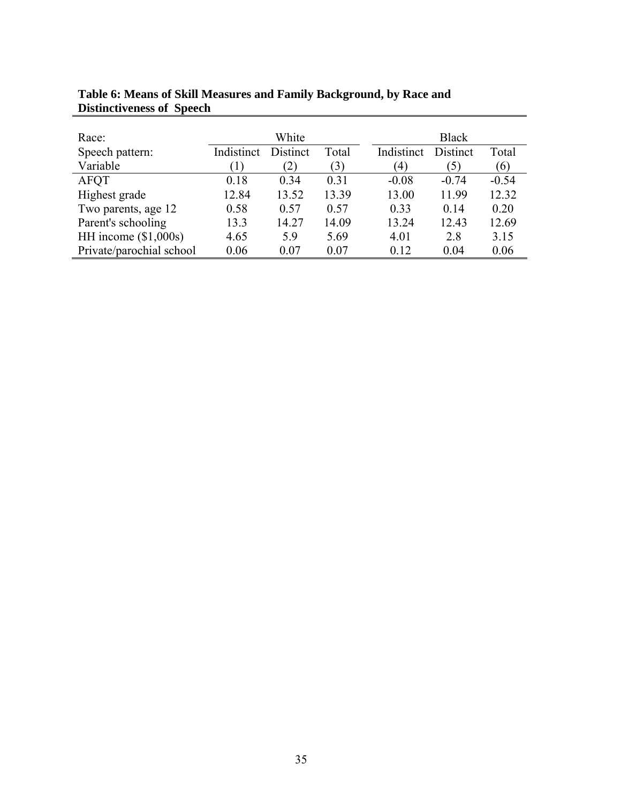| Race:                    |            | White        |       |            | <b>Black</b> |         |
|--------------------------|------------|--------------|-------|------------|--------------|---------|
| Speech pattern:          | Indistinct | Distinct     | Total | Indistinct | Distinct     | Total   |
| Variable                 | (1)        | $\mathbf{2}$ | (3)   | (4)        | (5)          | (6)     |
| <b>AFOT</b>              | 0.18       | 0.34         | 0.31  | $-0.08$    | $-0.74$      | $-0.54$ |
| Highest grade            | 12.84      | 13.52        | 13.39 | 13.00      | 11.99        | 12.32   |
| Two parents, age 12      | 0.58       | 0.57         | 0.57  | 0.33       | 0.14         | 0.20    |
| Parent's schooling       | 13.3       | 14.27        | 14.09 | 13.24      | 12.43        | 12.69   |
| HH income $(\$1,000s)$   | 4.65       | 5.9          | 5.69  | 4.01       | 2.8          | 3.15    |
| Private/parochial school | 0.06       | 0.07         | 0.07  | 0.12       | 0.04         | 0.06    |

**Table 6: Means of Skill Measures and Family Background, by Race and Distinctiveness of Speech**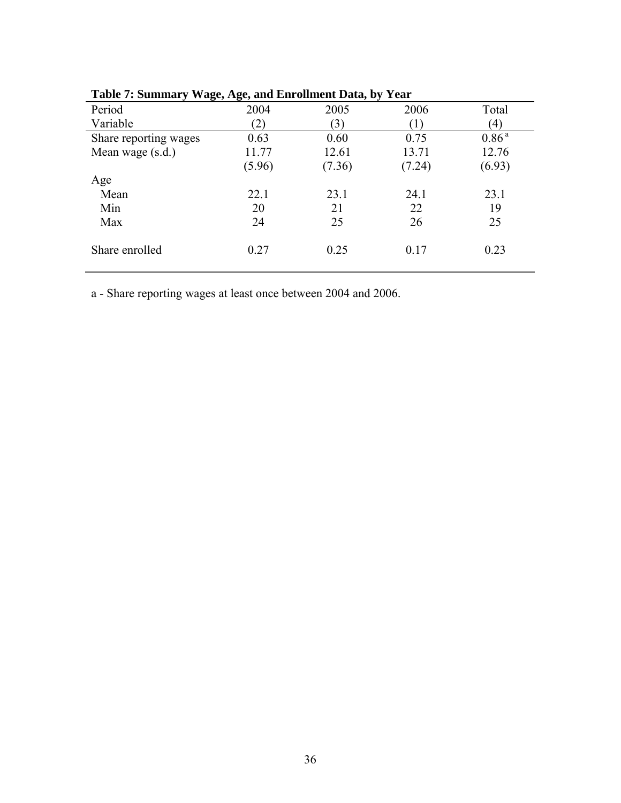| 07<br>Period          | $\sigma$ ,<br>2004 | 2005           | 2006   | Total             |
|-----------------------|--------------------|----------------|--------|-------------------|
| Variable              | $\mathbf{C}$       | $\mathfrak{B}$ |        | (4)               |
| Share reporting wages | 0.63               | 0.60           | 0.75   | 0.86 <sup>a</sup> |
| Mean wage $(s.d.)$    | 11.77              | 12.61          | 13.71  | 12.76             |
|                       | (5.96)             | (7.36)         | (7.24) | (6.93)            |
| Age                   |                    |                |        |                   |
| Mean                  | 22.1               | 23.1           | 24.1   | 23.1              |
| Min                   | 20                 | 21             | 22     | 19                |
| Max                   | 24                 | 25             | 26     | 25                |
| Share enrolled        | 0.27               | 0.25           | 0.17   | 0.23              |

| Table 7: Summary Wage, Age, and Enrollment Data, by Year |  |  |  |  |
|----------------------------------------------------------|--|--|--|--|
|                                                          |  |  |  |  |

a - Share reporting wages at least once between 2004 and 2006.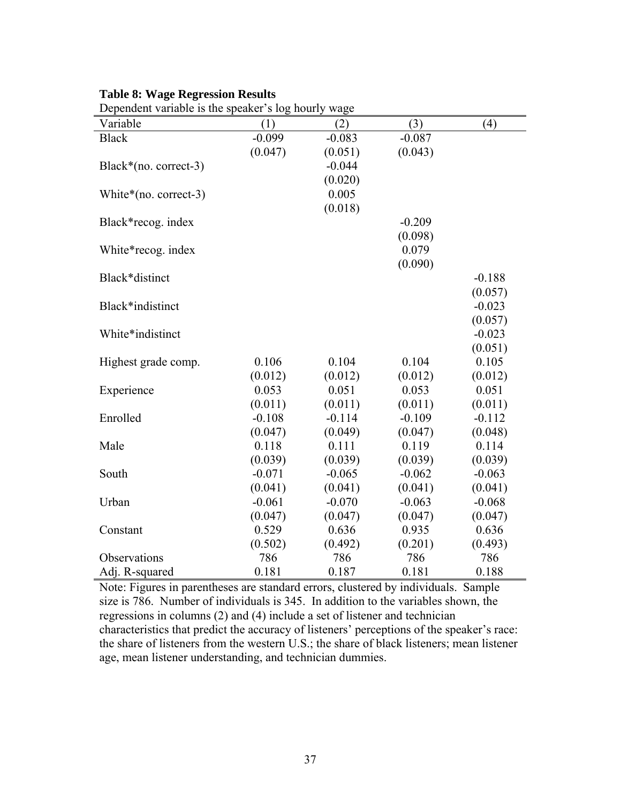## **Table 8: Wage Regression Results**

| Dependent variable is the speaker s log hourly wage |          |          |          |                  |
|-----------------------------------------------------|----------|----------|----------|------------------|
| Variable                                            | (1)      | (2)      | (3)      | (4)              |
| <b>Black</b>                                        | $-0.099$ | $-0.083$ | $-0.087$ |                  |
|                                                     | (0.047)  | (0.051)  | (0.043)  |                  |
| Black*(no. correct-3)                               |          | $-0.044$ |          |                  |
|                                                     |          | (0.020)  |          |                  |
| White*(no. correct-3)                               |          | 0.005    |          |                  |
|                                                     |          | (0.018)  |          |                  |
| Black*recog. index                                  |          |          | $-0.209$ |                  |
|                                                     |          |          | (0.098)  |                  |
| White*recog. index                                  |          |          | 0.079    |                  |
|                                                     |          |          | (0.090)  |                  |
| Black*distinct                                      |          |          |          | $-0.188$         |
|                                                     |          |          |          | (0.057)          |
| Black*indistinct                                    |          |          |          | $-0.023$         |
|                                                     |          |          |          | (0.057)          |
| White*indistinct                                    |          |          |          | $-0.023$         |
|                                                     |          |          |          | (0.051)          |
| Highest grade comp.                                 | 0.106    | 0.104    | 0.104    | 0.105            |
|                                                     | (0.012)  | (0.012)  | (0.012)  | (0.012)          |
| Experience                                          | 0.053    | 0.051    | 0.053    | 0.051            |
|                                                     | (0.011)  | (0.011)  | (0.011)  | (0.011)          |
| Enrolled                                            | $-0.108$ | $-0.114$ | $-0.109$ | $-0.112$         |
|                                                     | (0.047)  | (0.049)  | (0.047)  | (0.048)          |
| Male                                                | 0.118    | 0.111    | 0.119    | 0.114            |
|                                                     | (0.039)  | (0.039)  | (0.039)  | (0.039)          |
| South                                               | $-0.071$ | $-0.065$ | $-0.062$ | $-0.063$         |
|                                                     | (0.041)  | (0.041)  | (0.041)  | (0.041)          |
| Urban                                               | $-0.061$ | $-0.070$ | $-0.063$ | $-0.068$         |
|                                                     | (0.047)  | (0.047)  | (0.047)  |                  |
| Constant                                            | 0.529    | 0.636    | 0.935    | (0.047)<br>0.636 |
|                                                     |          |          |          |                  |
|                                                     | (0.502)  | (0.492)  | (0.201)  | (0.493)          |
| Observations                                        | 786      | 786      | 786      | 786              |
| Adj. R-squared                                      | 0.181    | 0.187    | 0.181    | 0.188            |

Dependent variable is the speaker's log hourly wage

Note: Figures in parentheses are standard errors, clustered by individuals. Sample size is 786. Number of individuals is 345. In addition to the variables shown, the regressions in columns (2) and (4) include a set of listener and technician characteristics that predict the accuracy of listeners' perceptions of the speaker's race: the share of listeners from the western U.S.; the share of black listeners; mean listener age, mean listener understanding, and technician dummies.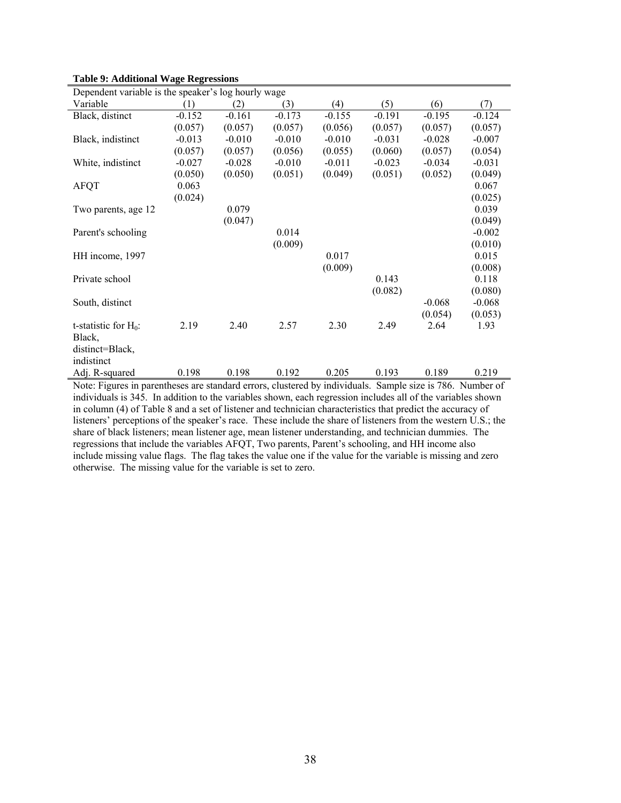| Dependent variable is the speaker's log hourly wage |          |          |          |          |          |          |          |
|-----------------------------------------------------|----------|----------|----------|----------|----------|----------|----------|
| Variable                                            | (1)      | (2)      | (3)      | (4)      | (5)      | (6)      | (7)      |
| Black, distinct                                     | $-0.152$ | $-0.161$ | $-0.173$ | $-0.155$ | $-0.191$ | $-0.195$ | $-0.124$ |
|                                                     | (0.057)  | (0.057)  | (0.057)  | (0.056)  | (0.057)  | (0.057)  | (0.057)  |
| Black, indistinct                                   | $-0.013$ | $-0.010$ | $-0.010$ | $-0.010$ | $-0.031$ | $-0.028$ | $-0.007$ |
|                                                     | (0.057)  | (0.057)  | (0.056)  | (0.055)  | (0.060)  | (0.057)  | (0.054)  |
| White, indistinct                                   | $-0.027$ | $-0.028$ | $-0.010$ | $-0.011$ | $-0.023$ | $-0.034$ | $-0.031$ |
|                                                     | (0.050)  | (0.050)  | (0.051)  | (0.049)  | (0.051)  | (0.052)  | (0.049)  |
| AFQT                                                | 0.063    |          |          |          |          |          | 0.067    |
|                                                     | (0.024)  |          |          |          |          |          | (0.025)  |
| Two parents, age 12                                 |          | 0.079    |          |          |          |          | 0.039    |
|                                                     |          | (0.047)  |          |          |          |          | (0.049)  |
| Parent's schooling                                  |          |          | 0.014    |          |          |          | $-0.002$ |
|                                                     |          |          | (0.009)  |          |          |          | (0.010)  |
| HH income, 1997                                     |          |          |          | 0.017    |          |          | 0.015    |
|                                                     |          |          |          | (0.009)  |          |          | (0.008)  |
| Private school                                      |          |          |          |          | 0.143    |          | 0.118    |
|                                                     |          |          |          |          | (0.082)  |          | (0.080)  |
| South, distinct                                     |          |          |          |          |          | $-0.068$ | $-0.068$ |
|                                                     |          |          |          |          |          | (0.054)  | (0.053)  |
| t-statistic for $H_0$ :                             | 2.19     | 2.40     | 2.57     | 2.30     | 2.49     | 2.64     | 1.93     |
| Black,                                              |          |          |          |          |          |          |          |
| distinct=Black,                                     |          |          |          |          |          |          |          |
| indistinct                                          |          |          |          |          |          |          |          |
| Adj. R-squared                                      | 0.198    | 0.198    | 0.192    | 0.205    | 0.193    | 0.189    | 0.219    |

**Table 9: Additional Wage Regressions** 

Note: Figures in parentheses are standard errors, clustered by individuals. Sample size is 786. Number of individuals is 345. In addition to the variables shown, each regression includes all of the variables shown in column (4) of Table 8 and a set of listener and technician characteristics that predict the accuracy of listeners' perceptions of the speaker's race. These include the share of listeners from the western U.S.; the share of black listeners; mean listener age, mean listener understanding, and technician dummies. The regressions that include the variables AFQT, Two parents, Parent's schooling, and HH income also include missing value flags. The flag takes the value one if the value for the variable is missing and zero otherwise. The missing value for the variable is set to zero.